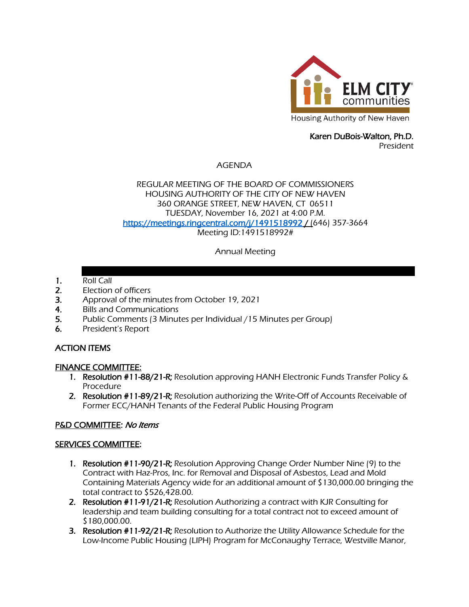

# Karen DuBois-Walton, Ph.D.

President

AGENDA

## REGULAR MEETING OF THE BOARD OF COMMISSIONERS HOUSING AUTHORITY OF THE CITY OF NEW HAVEN 360 ORANGE STREET, NEW HAVEN, CT 06511 TUESDAY, November 16, 2021 at 4:00 P.M. https://meetings.ringcentral.com/j/1491518992/1646) 357-3664 Meeting ID:1491518992#

Annual Meeting

- 1. Roll Call
- 2. Election of officers
- 3. Approval of the minutes from October 19, 2021
- 4. Bills and Communications
- 5. Public Comments (3 Minutes per Individual /15 Minutes per Group)
- 6. President's Report

## ACTION ITEMS

## FINANCE COMMITTEE:

- 1. Resolution #11-88/21-R; Resolution approving HANH Electronic Funds Transfer Policy & Procedure
- 2. Resolution #11-89/21-R; Resolution authorizing the Write-Off of Accounts Receivable of Former ECC/HANH Tenants of the Federal Public Housing Program

## P&D COMMITTEE: No Items

## SERVICES COMMITTEE:

- 1. Resolution #11-90/21-R; Resolution Approving Change Order Number Nine (9) to the Contract with Haz-Pros, Inc. for Removal and Disposal of Asbestos, Lead and Mold Containing Materials Agency wide for an additional amount of \$130,000.00 bringing the total contract to \$526,428.00.
- 2. Resolution #11-91/21-R; Resolution Authorizing a contract with KJR Consulting for leadership and team building consulting for a total contract not to exceed amount of \$180,000.00.
- 3. Resolution #11-92/21-R; Resolution to Authorize the Utility Allowance Schedule for the Low-Income Public Housing (LIPH) Program for McConaughy Terrace, Westville Manor,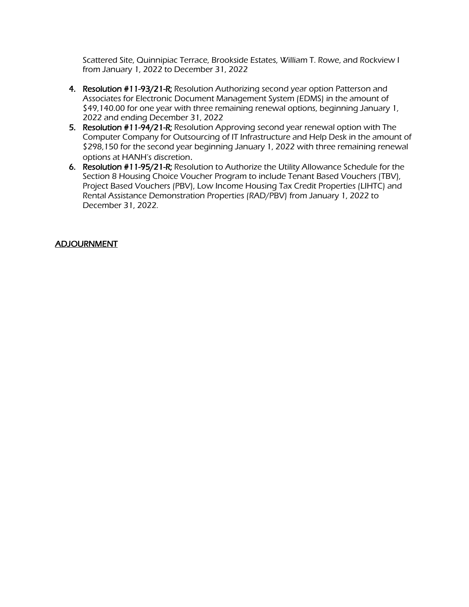Scattered Site, Quinnipiac Terrace, Brookside Estates, William T. Rowe, and Rockview I from January 1, 2022 to December 31, 2022

- 4. Resolution #11-93/21-R; Resolution Authorizing second year option Patterson and Associates for Electronic Document Management System (EDMS) in the amount of \$49,140.00 for one year with three remaining renewal options, beginning January 1, 2022 and ending December 31, 2022
- 5. Resolution #11-94/21-R; Resolution Approving second year renewal option with The Computer Company for Outsourcing of IT Infrastructure and Help Desk in the amount of \$298,150 for the second year beginning January 1, 2022 with three remaining renewal options at HANH's discretion.
- 6. Resolution #11-95/21-R; Resolution to Authorize the Utility Allowance Schedule for the Section 8 Housing Choice Voucher Program to include Tenant Based Vouchers (TBV), Project Based Vouchers (PBV), Low Income Housing Tax Credit Properties (LIHTC) and Rental Assistance Demonstration Properties (RAD/PBV) from January 1, 2022 to December 31, 2022.

## ADJOURNMENT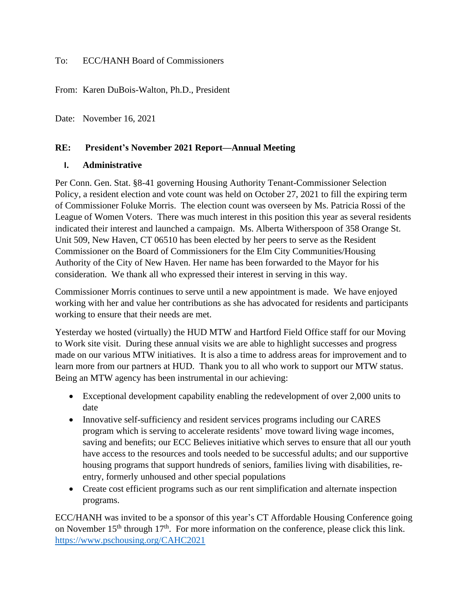To: ECC/HANH Board of Commissioners

From: Karen DuBois-Walton, Ph.D., President

Date: November 16, 2021

## **RE: President's November 2021 Report—Annual Meeting**

## **I. Administrative**

Per Conn. Gen. Stat. §8-41 governing Housing Authority Tenant-Commissioner Selection Policy, a resident election and vote count was held on October 27, 2021 to fill the expiring term of Commissioner Foluke Morris. The election count was overseen by Ms. Patricia Rossi of the League of Women Voters. There was much interest in this position this year as several residents indicated their interest and launched a campaign. Ms. Alberta Witherspoon of 358 Orange St. Unit 509, New Haven, CT 06510 has been elected by her peers to serve as the Resident Commissioner on the Board of Commissioners for the Elm City Communities/Housing Authority of the City of New Haven. Her name has been forwarded to the Mayor for his consideration. We thank all who expressed their interest in serving in this way.

Commissioner Morris continues to serve until a new appointment is made. We have enjoyed working with her and value her contributions as she has advocated for residents and participants working to ensure that their needs are met.

Yesterday we hosted (virtually) the HUD MTW and Hartford Field Office staff for our Moving to Work site visit. During these annual visits we are able to highlight successes and progress made on our various MTW initiatives. It is also a time to address areas for improvement and to learn more from our partners at HUD. Thank you to all who work to support our MTW status. Being an MTW agency has been instrumental in our achieving:

- Exceptional development capability enabling the redevelopment of over 2,000 units to date
- Innovative self-sufficiency and resident services programs including our CARES program which is serving to accelerate residents' move toward living wage incomes, saving and benefits; our ECC Believes initiative which serves to ensure that all our youth have access to the resources and tools needed to be successful adults; and our supportive housing programs that support hundreds of seniors, families living with disabilities, reentry, formerly unhoused and other special populations
- Create cost efficient programs such as our rent simplification and alternate inspection programs.

ECC/HANH was invited to be a sponsor of this year's CT Affordable Housing Conference going on November  $15<sup>th</sup>$  through  $17<sup>th</sup>$ . For more information on the conference, please click this link. <https://www.pschousing.org/CAHC2021>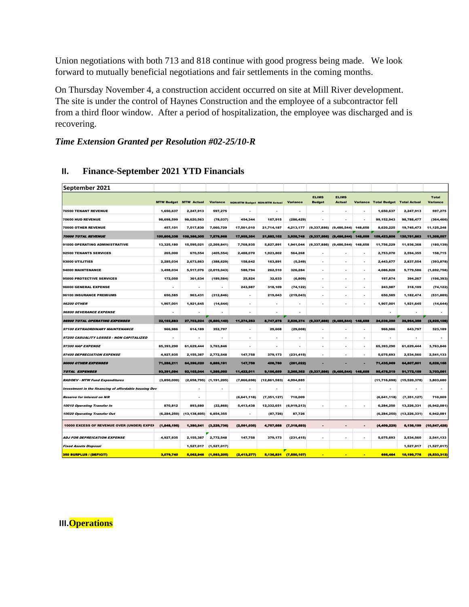Union negotiations with both 713 and 818 continue with good progress being made. We look forward to mutually beneficial negotiations and fair settlements in the coming months.

On Thursday November 4, a construction accident occurred on site at Mill River development. The site is under the control of Haynes Construction and the employee of a subcontractor fell from a third floor window. After a period of hospitalization, the employee was discharged and is recovering.

#### *Time Extension Granted per Resolution #02-25/10-R*

| September 2021                                        |                              |                |               |                                      |                          |                       |                               |                                     |                          |                                    |                |                          |
|-------------------------------------------------------|------------------------------|----------------|---------------|--------------------------------------|--------------------------|-----------------------|-------------------------------|-------------------------------------|--------------------------|------------------------------------|----------------|--------------------------|
|                                                       | <b>MTW Budget MTW Actual</b> |                | Variance      | <b>NON-MTW Budget NON-MTW Actual</b> |                          | Variance              | <b>ELIMS</b><br><b>Budget</b> | <b>ELIMS</b><br><b>Actual</b>       |                          | Variance Total Budget Total Actual |                | <b>Total</b><br>Variance |
| <b>70500 TENANT REVENUE</b>                           | 1,650,637                    | 2,247,913      | 597,275       | $\overline{\phantom{a}}$             | $\overline{\phantom{a}}$ |                       | $\blacksquare$                | $\blacksquare$                      | $\overline{\phantom{a}}$ | 1,650,637                          | 2,247,913      | 597,275                  |
| 70600 HUD REVENUE                                     | 98,698,599                   | 98,620,563     | (78, 037)     | 454,344                              | 167,915                  | (286, 429)            |                               |                                     |                          | 99,152,943                         | 98,788,477     | (364, 466)               |
| 70000 OTHER REVENUE                                   | 457,101                      | 7,517,830      | 7,060,729     | 17,501,010                           | 21,714,187               | 4,213,177             | (9,337,886)                   | $(9,486,544)$ 148,658               |                          | 8,620,225                          | 19,745,473     | 11,125,248               |
| <b>70000 TOTAL REVENUE</b>                            | 100,806,338                  | 108,386,305    | 7,579,968     | 17,955,354                           | 21,882,102               | 3,926,748             | (9.337.886)                   | $(9,486,544)$ 148,658               |                          | 109,423,806                        | 120,781,863    | 11,358,057               |
| 91000 OPERATING ADMINISTRATIVE                        | 13,325,180                   | 15,595,021     | (2, 269, 841) | 7,768,935                            | 5,827,891                | 1,941,044             | (9,337,886)                   | (9,486,544)                         | 148,658                  | 11,756,229                         | 11,936,368     | (180, 139)               |
| 92500 TENANTS SERVICES                                | 265,000                      | 670,554        | (405, 554)    | 2,488,070                            | 1,923,802                | 564,268               | $\blacksquare$                |                                     | $\cdot$                  | 2,753,070                          | 2,594,355      | 158,715                  |
| 93000 UTILITIES                                       | 2,285,034                    | 2,673,663      | (388, 629)    | 158,642                              | 163,891                  | (5, 249)              |                               |                                     |                          | 2,443,677                          | 2,837,554      | (393,878)                |
| 94000 MAINTENANCE                                     | 3,498,034                    | 5,517,076      | (2,019,043)   | 588,794                              | 262,510                  | 326,284               | $\blacksquare$                | $\blacksquare$                      | ٠                        | 4,086,828                          | 5,779,586      | (1,692,758)              |
| 95000 PROTECTIVE SERVICES                             | 172,050                      | 361,634        | (189, 584)    | 25,824                               | 32,633                   | (6,809)               | $\overline{\phantom{a}}$      | $\overline{\phantom{a}}$            | ۰.                       | 197,874                            | 394,267        | (196, 393)               |
| 96000 GENERAL EXPENSE                                 | ٠                            | $\blacksquare$ | $\mathbf{r}$  | 243,987                              | 318,109                  | (74, 122)             | $\sim$                        | $\blacksquare$                      | $\overline{\phantom{a}}$ | 243,987                            | 318,109        | (74, 122)                |
| 96100 INSURANCE PREMIUMS                              | 650,585                      | 963,431        | (312, 846)    | $\overline{\phantom{a}}$             | 219,043                  | (219, 043)            | $\overline{\phantom{a}}$      |                                     | $\blacksquare$           | 650,585                            | 1,182,474      | (531,889)                |
| <b>96200 OTHER</b>                                    | 1,907,001                    | 1,921,645      | (14, 644)     |                                      | ä,                       |                       |                               |                                     |                          | 1,907,001                          | 1,921,645      | (14, 644)                |
| <b>96800 SEVERANCE EXPENSE</b>                        |                              |                |               | $\overline{\phantom{a}}$             | ٠                        |                       |                               |                                     |                          |                                    |                |                          |
| 96900 TOTAL OPERATING EXPENSES                        | 22,102,883                   | 27,703,024     | (5,600,140)   | 11,274,253                           | 8,747,878                | 2,526,374             |                               | $(9,337,886)$ $(9,486,544)$ 148,658 |                          | 24,039,250                         | 26,964,358     | (2,925,108)              |
| 97100 EXTRAORDINARY MAINTENANCE                       | 966,986                      | 614,189        | 352,797       | $\blacksquare$                       | 29,608                   | (29, 608)             | $\overline{\phantom{a}}$      | $\overline{\phantom{a}}$            | $\blacksquare$           | 966,986                            | 643,797        | 323,189                  |
| 97200 CASUALITY LOSSES - NON CAPITALIZED              |                              |                |               | ٠                                    | ٠                        |                       |                               | $\blacksquare$                      | ٠                        |                                    |                |                          |
| <b>97300 HAP EXPENSE</b>                              | 65,393,290                   | 61,629,444     | 3,763,846     | ä,                                   | ٠                        |                       | $\sim$                        | $\blacksquare$                      | $\blacksquare$           | 65,393,290                         | 61,629,444     | 3,763,846                |
| <b>97400 DEPRECIATION EXPENSE</b>                     | 4,927,935                    | 2,155,387      | 2,772,548     | 147,758                              | 379,173                  | (231, 415)            |                               | $\blacksquare$                      | ٠                        | 5,075,693                          | 2,534,560      | 2,541,133                |
| <b>90000 OTHER EXPENSES</b>                           | 71,288,211                   | 64,399,020     | 6,889,191     | 147,758                              | 408,780                  | (261, 022)            |                               |                                     |                          | 71,435,969                         | 64,807,801     | 6,628,168                |
| <b>TOTAL EXPENSES</b>                                 | 93,391,094                   | 92,102,044     | 1,289,050     | 11,422,011                           | 9,156,659                | 2,265,352             | (9,337,886)                   | (9,486,544)                         | 148,658                  | 95,475,219                         | 91,772,159     | 3,703,061                |
| <b>RAD/DEV - MTW Fund Expenditures</b>                | (3,850,000)                  | (2,658,795)    | (1, 191, 205) | (7,866,698)                          | (12, 861, 583)           | 4,994,885             |                               |                                     |                          | (11,716,698)                       | (15, 520, 378) | 3,803,680                |
| Investment in the financing of affordable housing Dev |                              |                |               |                                      |                          |                       |                               |                                     |                          |                                    |                |                          |
| Reserve for interest on N/R                           |                              |                |               | (6,641,118)                          | (7, 351, 127)            | 710,009               |                               |                                     |                          | (6,641,118)                        | (7, 351, 127)  | 710,009                  |
| 10010 Operating Transfer In                           | 870,812                      | 893,680        | (22, 868)     | 5,413,438                            | 12,332,651               | (6,919,213)           |                               |                                     |                          | 6,284,250                          | 13,226,331     | (6,942,081)              |
| 10020 Operating Transfer Out                          | (6, 284, 250)                | (13, 138, 605) | 6,854,355     | ٠                                    | (87, 726)                | 87,726                |                               |                                     |                          | (6, 284, 250)                      | (13, 226, 331) | 6,942,081                |
| 10000 EXCESS OF REVENUE OVER (UNDER) EXPEI            | (1,848,195)                  | 1.380.541      | (3, 228, 736) | (2, 561, 035)                        | 4,757,658                | (7,318,693)           |                               |                                     | $\bullet$                | (4,409,229)                        | 6,138,199      | (10, 547, 428)           |
| <b>ADJ FOR DEPREICATION EXPENSE</b>                   | 4,927,935                    | 2,155,387      | 2,772,548     | 147,758                              | 379,173                  | (231, 415)            | $\blacksquare$                | ٠                                   | $\blacksquare$           | 5,075,693                          | 2,534,560      | 2,541,133                |
| <b>Fixed Assets Disposal</b>                          |                              | 1,527,017      | (1,527,017)   |                                      |                          |                       |                               |                                     |                          |                                    | 1,527,017      | (1,527,017)              |
| 350 SURPLUS / (DEFICIT)                               | 3.079.740                    | 5.062.946      | (1,983,205)   | (2,413,277)                          |                          | 5,136,831 (7,550,107) |                               | $\blacksquare$                      | <b>COL</b>               | 666,464                            | 10,199,776     | (9,533,313)              |

## **II. Finance-September 2021 YTD Financials**

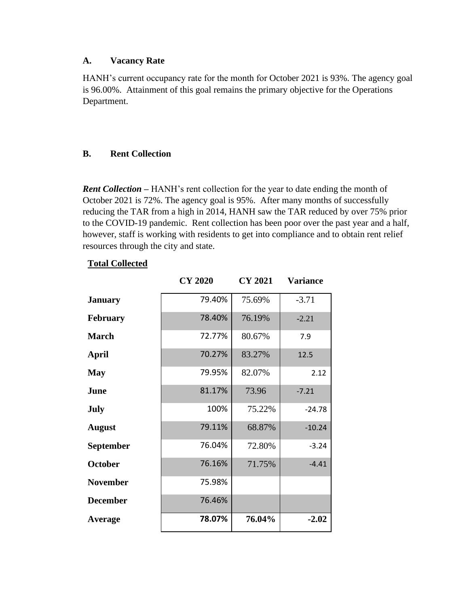## **A. Vacancy Rate**

HANH's current occupancy rate for the month for October 2021 is 93%. The agency goal is 96.00%. Attainment of this goal remains the primary objective for the Operations Department.

# **B. Rent Collection**

*Rent Collection –* HANH's rent collection for the year to date ending the month of October 2021 is 72%. The agency goal is 95%. After many months of successfully reducing the TAR from a high in 2014, HANH saw the TAR reduced by over 75% prior to the COVID-19 pandemic. Rent collection has been poor over the past year and a half, however, staff is working with residents to get into compliance and to obtain rent relief resources through the city and state.

|                 | <b>CY 2020</b> | <b>CY 2021</b> | <b>Variance</b> |
|-----------------|----------------|----------------|-----------------|
| <b>January</b>  | 79.40%         | 75.69%         | $-3.71$         |
| <b>February</b> | 78.40%         | 76.19%         | $-2.21$         |
| <b>March</b>    | 72.77%         | 80.67%         | 7.9             |
| <b>April</b>    | 70.27%         | 83.27%         | 12.5            |
| <b>May</b>      | 79.95%         | 82.07%         | 2.12            |
| June            | 81.17%         | 73.96          | $-7.21$         |
| <b>July</b>     | 100%           | 75.22%         | $-24.78$        |
| <b>August</b>   | 79.11%         | 68.87%         | $-10.24$        |
| September       | 76.04%         | 72.80%         | $-3.24$         |
| <b>October</b>  | 76.16%         | 71.75%         | $-4.41$         |
| <b>November</b> | 75.98%         |                |                 |
| <b>December</b> | 76.46%         |                |                 |
| Average         | 78.07%         | 76.04%         | $-2.02$         |

# **Total Collected**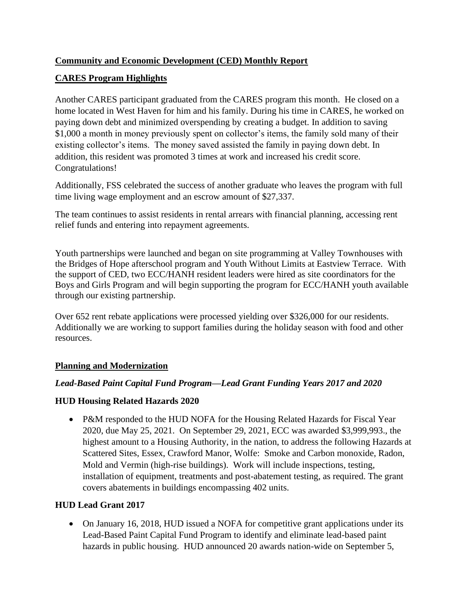# **Community and Economic Development (CED) Monthly Report**

# **CARES Program Highlights**

Another CARES participant graduated from the CARES program this month. He closed on a home located in West Haven for him and his family. During his time in CARES, he worked on paying down debt and minimized overspending by creating a budget. In addition to saving \$1,000 a month in money previously spent on collector's items, the family sold many of their existing collector's items. The money saved assisted the family in paying down debt. In addition, this resident was promoted 3 times at work and increased his credit score. Congratulations!

Additionally, FSS celebrated the success of another graduate who leaves the program with full time living wage employment and an escrow amount of \$27,337.

The team continues to assist residents in rental arrears with financial planning, accessing rent relief funds and entering into repayment agreements.

Youth partnerships were launched and began on site programming at Valley Townhouses with the Bridges of Hope afterschool program and Youth Without Limits at Eastview Terrace. With the support of CED, two ECC/HANH resident leaders were hired as site coordinators for the Boys and Girls Program and will begin supporting the program for ECC/HANH youth available through our existing partnership.

Over 652 rent rebate applications were processed yielding over \$326,000 for our residents. Additionally we are working to support families during the holiday season with food and other resources.

# **Planning and Modernization**

## *Lead-Based Paint Capital Fund Program—Lead Grant Funding Years 2017 and 2020*

## **HUD Housing Related Hazards 2020**

• P&M responded to the HUD NOFA for the Housing Related Hazards for Fiscal Year 2020, due May 25, 2021. On September 29, 2021, ECC was awarded \$3,999,993., the highest amount to a Housing Authority, in the nation, to address the following Hazards at Scattered Sites, Essex, Crawford Manor, Wolfe: Smoke and Carbon monoxide, Radon, Mold and Vermin (high-rise buildings). Work will include inspections, testing, installation of equipment, treatments and post-abatement testing, as required. The grant covers abatements in buildings encompassing 402 units.

## **HUD Lead Grant 2017**

• On January 16, 2018, HUD issued a NOFA for competitive grant applications under its Lead-Based Paint Capital Fund Program to identify and eliminate lead-based paint hazards in public housing. HUD announced 20 awards nation-wide on September 5,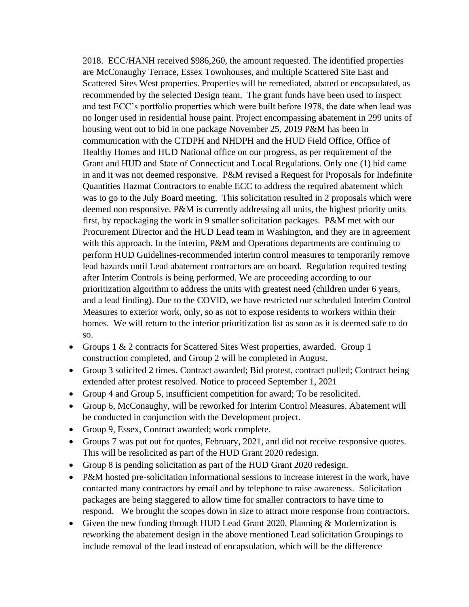2018. ECC/HANH received \$986,260, the amount requested. The identified properties are McConaughy Terrace, Essex Townhouses, and multiple Scattered Site East and Scattered Sites West properties. Properties will be remediated, abated or encapsulated, as recommended by the selected Design team. The grant funds have been used to inspect and test ECC's portfolio properties which were built before 1978, the date when lead was no longer used in residential house paint. Project encompassing abatement in 299 units of housing went out to bid in one package November 25, 2019 P&M has been in communication with the CTDPH and NHDPH and the HUD Field Office, Office of Healthy Homes and HUD National office on our progress, as per requirement of the Grant and HUD and State of Connecticut and Local Regulations. Only one (1) bid came in and it was not deemed responsive. P&M revised a Request for Proposals for Indefinite Quantities Hazmat Contractors to enable ECC to address the required abatement which was to go to the July Board meeting. This solicitation resulted in 2 proposals which were deemed non responsive. P&M is currently addressing all units, the highest priority units first, by repackaging the work in 9 smaller solicitation packages. P&M met with our Procurement Director and the HUD Lead team in Washington, and they are in agreement with this approach. In the interim, P&M and Operations departments are continuing to perform HUD Guidelines-recommended interim control measures to temporarily remove lead hazards until Lead abatement contractors are on board. Regulation required testing after Interim Controls is being performed. We are proceeding according to our prioritization algorithm to address the units with greatest need (children under 6 years, and a lead finding). Due to the COVID, we have restricted our scheduled Interim Control Measures to exterior work, only, so as not to expose residents to workers within their homes. We will return to the interior prioritization list as soon as it is deemed safe to do so.

- Groups 1 & 2 contracts for Scattered Sites West properties, awarded. Group 1 construction completed, and Group 2 will be completed in August.
- Group 3 solicited 2 times. Contract awarded; Bid protest, contract pulled; Contract being extended after protest resolved. Notice to proceed September 1, 2021
- Group 4 and Group 5, insufficient competition for award; To be resolicited.
- Group 6, McConaughy, will be reworked for Interim Control Measures. Abatement will be conducted in conjunction with the Development project.
- Group 9, Essex, Contract awarded; work complete.
- Groups 7 was put out for quotes, February, 2021, and did not receive responsive quotes. This will be resolicited as part of the HUD Grant 2020 redesign.
- Group 8 is pending solicitation as part of the HUD Grant 2020 redesign.
- P&M hosted pre-solicitation informational sessions to increase interest in the work, have contacted many contractors by email and by telephone to raise awareness. Solicitation packages are being staggered to allow time for smaller contractors to have time to respond. We brought the scopes down in size to attract more response from contractors.
- Given the new funding through HUD Lead Grant 2020, Planning & Modernization is reworking the abatement design in the above mentioned Lead solicitation Groupings to include removal of the lead instead of encapsulation, which will be the difference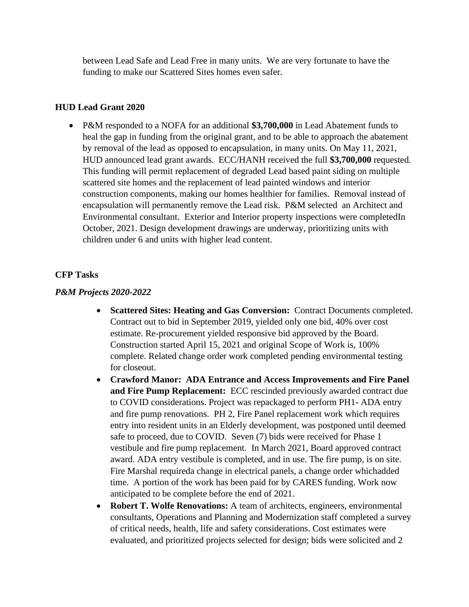between Lead Safe and Lead Free in many units. We are very fortunate to have the funding to make our Scattered Sites homes even safer.

## **HUD Lead Grant 2020**

• P&M responded to a NOFA for an additional **\$3,700,000** in Lead Abatement funds to heal the gap in funding from the original grant, and to be able to approach the abatement by removal of the lead as opposed to encapsulation, in many units. On May 11, 2021, HUD announced lead grant awards. ECC/HANH received the full **\$3,700,000** requested. This funding will permit replacement of degraded Lead based paint siding on multiple scattered site homes and the replacement of lead painted windows and interior construction components, making our homes healthier for families. Removal instead of encapsulation will permanently remove the Lead risk. P&M selected an Architect and Environmental consultant. Exterior and Interior property inspections were completedIn October, 2021. Design development drawings are underway, prioritizing units with children under 6 and units with higher lead content.

## **CFP Tasks**

## *P&M Projects 2020-2022*

- **Scattered Sites: Heating and Gas Conversion:** Contract Documents completed. Contract out to bid in September 2019, yielded only one bid, 40% over cost estimate. Re-procurement yielded responsive bid approved by the Board. Construction started April 15, 2021 and original Scope of Work is, 100% complete. Related change order work completed pending environmental testing for closeout.
- **Crawford Manor: ADA Entrance and Access Improvements and Fire Panel and Fire Pump Replacement:** ECC rescinded previously awarded contract due to COVID considerations. Project was repackaged to perform PH1- ADA entry and fire pump renovations. PH 2, Fire Panel replacement work which requires entry into resident units in an Elderly development, was postponed until deemed safe to proceed, due to COVID. Seven (7) bids were received for Phase 1 vestibule and fire pump replacement. In March 2021, Board approved contract award. ADA entry vestibule is completed, and in use. The fire pump, is on site. Fire Marshal requireda change in electrical panels, a change order whichadded time. A portion of the work has been paid for by CARES funding. Work now anticipated to be complete before the end of 2021.
- **Robert T. Wolfe Renovations:** A team of architects, engineers, environmental consultants, Operations and Planning and Modernization staff completed a survey of critical needs, health, life and safety considerations. Cost estimates were evaluated, and prioritized projects selected for design; bids were solicited and 2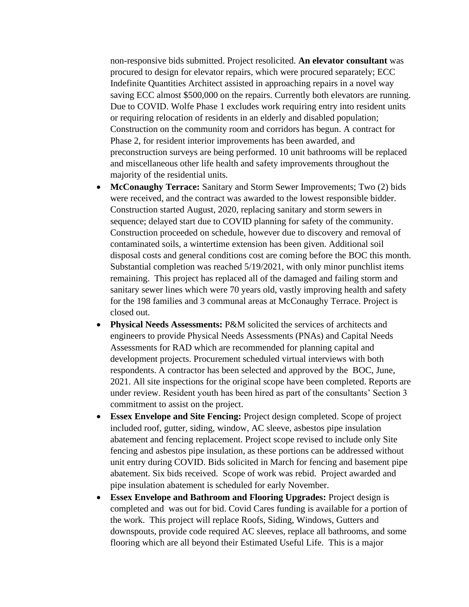non-responsive bids submitted. Project resolicited. **An elevator consultant** was procured to design for elevator repairs, which were procured separately; ECC Indefinite Quantities Architect assisted in approaching repairs in a novel way saving ECC almost \$500,000 on the repairs. Currently both elevators are running. Due to COVID. Wolfe Phase 1 excludes work requiring entry into resident units or requiring relocation of residents in an elderly and disabled population; Construction on the community room and corridors has begun. A contract for Phase 2, for resident interior improvements has been awarded, and preconstruction surveys are being performed. 10 unit bathrooms will be replaced and miscellaneous other life health and safety improvements throughout the majority of the residential units.

- **McConaughy Terrace:** Sanitary and Storm Sewer Improvements; Two (2) bids were received, and the contract was awarded to the lowest responsible bidder. Construction started August, 2020, replacing sanitary and storm sewers in sequence; delayed start due to COVID planning for safety of the community. Construction proceeded on schedule, however due to discovery and removal of contaminated soils, a wintertime extension has been given. Additional soil disposal costs and general conditions cost are coming before the BOC this month. Substantial completion was reached 5/19/2021, with only minor punchlist items remaining. This project has replaced all of the damaged and failing storm and sanitary sewer lines which were 70 years old, vastly improving health and safety for the 198 families and 3 communal areas at McConaughy Terrace. Project is closed out.
- **Physical Needs Assessments:** P&M solicited the services of architects and engineers to provide Physical Needs Assessments (PNAs) and Capital Needs Assessments for RAD which are recommended for planning capital and development projects. Procurement scheduled virtual interviews with both respondents. A contractor has been selected and approved by the BOC, June, 2021. All site inspections for the original scope have been completed. Reports are under review. Resident youth has been hired as part of the consultants' Section 3 commitment to assist on the project.
- **Essex Envelope and Site Fencing:** Project design completed. Scope of project included roof, gutter, siding, window, AC sleeve, asbestos pipe insulation abatement and fencing replacement. Project scope revised to include only Site fencing and asbestos pipe insulation, as these portions can be addressed without unit entry during COVID. Bids solicited in March for fencing and basement pipe abatement. Six bids received. Scope of work was rebid. Project awarded and pipe insulation abatement is scheduled for early November.
- **Essex Envelope and Bathroom and Flooring Upgrades:** Project design is completed and was out for bid. Covid Cares funding is available for a portion of the work. This project will replace Roofs, Siding, Windows, Gutters and downspouts, provide code required AC sleeves, replace all bathrooms, and some flooring which are all beyond their Estimated Useful Life. This is a major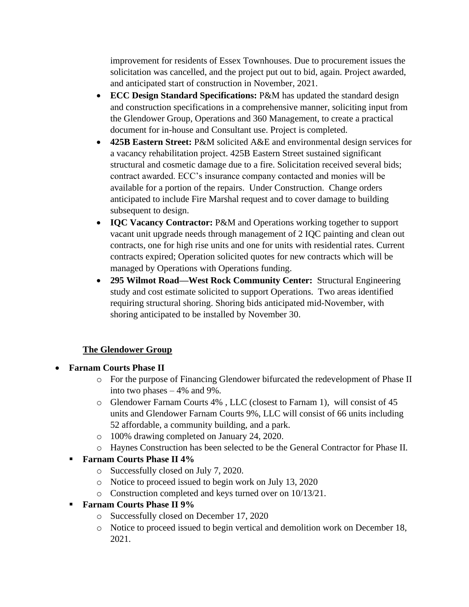improvement for residents of Essex Townhouses. Due to procurement issues the solicitation was cancelled, and the project put out to bid, again. Project awarded, and anticipated start of construction in November, 2021.

- **ECC Design Standard Specifications:** P&M has updated the standard design and construction specifications in a comprehensive manner, soliciting input from the Glendower Group, Operations and 360 Management, to create a practical document for in-house and Consultant use. Project is completed.
- **425B Eastern Street:** P&M solicited A&E and environmental design services for a vacancy rehabilitation project. 425B Eastern Street sustained significant structural and cosmetic damage due to a fire. Solicitation received several bids; contract awarded. ECC's insurance company contacted and monies will be available for a portion of the repairs. Under Construction. Change orders anticipated to include Fire Marshal request and to cover damage to building subsequent to design.
- **IQC Vacancy Contractor:** P&M and Operations working together to support vacant unit upgrade needs through management of 2 IQC painting and clean out contracts, one for high rise units and one for units with residential rates. Current contracts expired; Operation solicited quotes for new contracts which will be managed by Operations with Operations funding.
- **295 Wilmot Road—West Rock Community Center:** Structural Engineering study and cost estimate solicited to support Operations. Two areas identified requiring structural shoring. Shoring bids anticipated mid-November, with shoring anticipated to be installed by November 30.

# **The Glendower Group**

- **Farnam Courts Phase II**
	- o For the purpose of Financing Glendower bifurcated the redevelopment of Phase II into two phases – 4% and 9%.
	- o Glendower Farnam Courts 4% , LLC (closest to Farnam 1), will consist of 45 units and Glendower Farnam Courts 9%, LLC will consist of 66 units including 52 affordable, a community building, and a park.
	- o 100% drawing completed on January 24, 2020.
	- o Haynes Construction has been selected to be the General Contractor for Phase II.

# ▪ **Farnam Courts Phase II 4%**

- o Successfully closed on July 7, 2020.
- o Notice to proceed issued to begin work on July 13, 2020
- o Construction completed and keys turned over on 10/13/21.
- **Farnam Courts Phase II 9%**
	- o Successfully closed on December 17, 2020
	- o Notice to proceed issued to begin vertical and demolition work on December 18, 2021.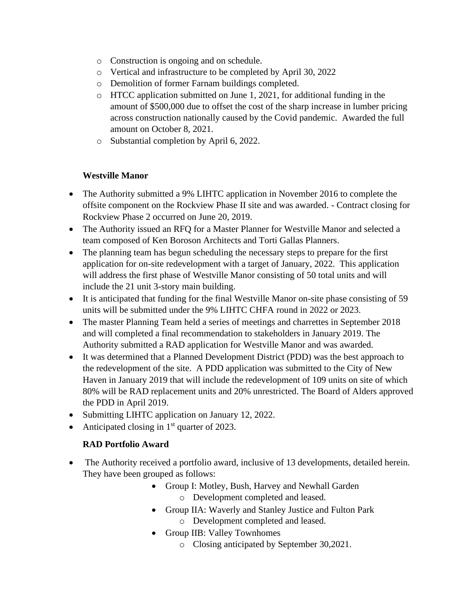- o Construction is ongoing and on schedule.
- o Vertical and infrastructure to be completed by April 30, 2022
- o Demolition of former Farnam buildings completed.
- $\circ$  HTCC application submitted on June 1, 2021, for additional funding in the amount of \$500,000 due to offset the cost of the sharp increase in lumber pricing across construction nationally caused by the Covid pandemic. Awarded the full amount on October 8, 2021.
- o Substantial completion by April 6, 2022.

# **Westville Manor**

- The Authority submitted a 9% LIHTC application in November 2016 to complete the offsite component on the Rockview Phase II site and was awarded. - Contract closing for Rockview Phase 2 occurred on June 20, 2019.
- The Authority issued an RFO for a Master Planner for Westville Manor and selected a team composed of Ken Boroson Architects and Torti Gallas Planners.
- The planning team has begun scheduling the necessary steps to prepare for the first application for on-site redevelopment with a target of January, 2022. This application will address the first phase of Westville Manor consisting of 50 total units and will include the 21 unit 3-story main building.
- It is anticipated that funding for the final Westville Manor on-site phase consisting of 59 units will be submitted under the 9% LIHTC CHFA round in 2022 or 2023.
- The master Planning Team held a series of meetings and charrettes in September 2018 and will completed a final recommendation to stakeholders in January 2019. The Authority submitted a RAD application for Westville Manor and was awarded.
- It was determined that a Planned Development District (PDD) was the best approach to the redevelopment of the site. A PDD application was submitted to the City of New Haven in January 2019 that will include the redevelopment of 109 units on site of which 80% will be RAD replacement units and 20% unrestricted. The Board of Alders approved the PDD in April 2019.
- Submitting LIHTC application on January 12, 2022.
- Anticipated closing in  $1<sup>st</sup>$  quarter of 2023.

# **RAD Portfolio Award**

- The Authority received a portfolio award, inclusive of 13 developments, detailed herein. They have been grouped as follows:
	- Group I: Motley, Bush, Harvey and Newhall Garden
		- o Development completed and leased.
	- Group IIA: Waverly and Stanley Justice and Fulton Park
		- o Development completed and leased.
	- Group IIB: Valley Townhomes
		- o Closing anticipated by September 30,2021.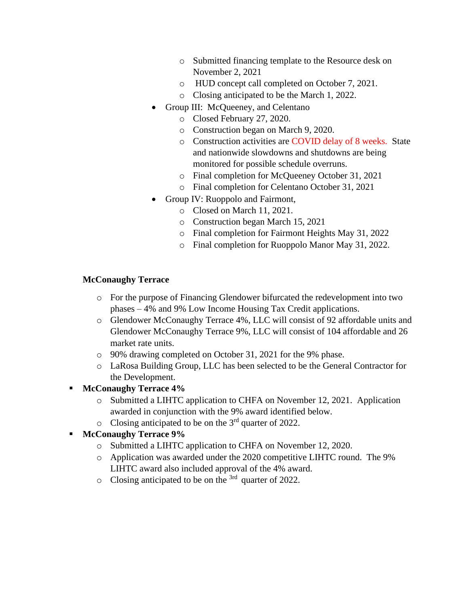- o Submitted financing template to the Resource desk on November 2, 2021
- o HUD concept call completed on October 7, 2021.
- o Closing anticipated to be the March 1, 2022.
- Group III: McQueeney, and Celentano
	- o Closed February 27, 2020.
	- o Construction began on March 9, 2020.
	- o Construction activities are COVID delay of 8 weeks. State and nationwide slowdowns and shutdowns are being monitored for possible schedule overruns.
	- o Final completion for McQueeney October 31, 2021
	- o Final completion for Celentano October 31, 2021
- Group IV: Ruoppolo and Fairmont,
	- o Closed on March 11, 2021.
		- o Construction began March 15, 2021
		- o Final completion for Fairmont Heights May 31, 2022
		- o Final completion for Ruoppolo Manor May 31, 2022.

## **McConaughy Terrace**

- o For the purpose of Financing Glendower bifurcated the redevelopment into two phases – 4% and 9% Low Income Housing Tax Credit applications.
- o Glendower McConaughy Terrace 4%, LLC will consist of 92 affordable units and Glendower McConaughy Terrace 9%, LLC will consist of 104 affordable and 26 market rate units.
- o 90% drawing completed on October 31, 2021 for the 9% phase.
- o LaRosa Building Group, LLC has been selected to be the General Contractor for the Development.
- **McConaughy Terrace 4%** 
	- o Submitted a LIHTC application to CHFA on November 12, 2021. Application awarded in conjunction with the 9% award identified below.
	- $\circ$  Closing anticipated to be on the 3<sup>rd</sup> quarter of 2022.
- **McConaughy Terrace 9%**
	- o Submitted a LIHTC application to CHFA on November 12, 2020.
	- o Application was awarded under the 2020 competitive LIHTC round. The 9% LIHTC award also included approval of the 4% award.
	- $\circ$  Closing anticipated to be on the <sup>3rd</sup> quarter of 2022.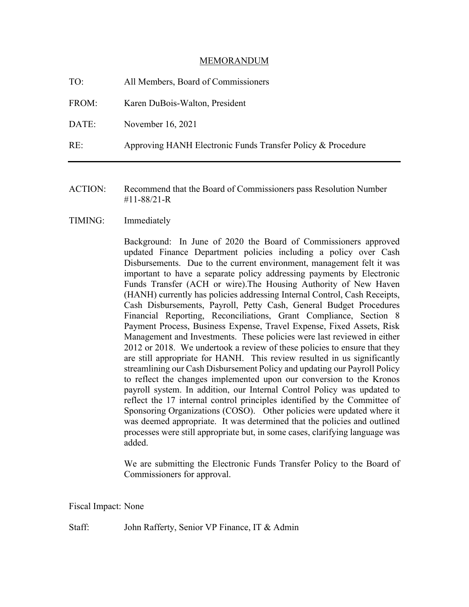#### MEMORANDUM

| TO:   | All Members, Board of Commissioners                         |
|-------|-------------------------------------------------------------|
| FROM: | Karen DuBois-Walton, President                              |
| DATE: | November 16, 2021                                           |
| RE:   | Approving HANH Electronic Funds Transfer Policy & Procedure |
|       |                                                             |

ACTION: Recommend that the Board of Commissioners pass Resolution Number #11-88/21-R

#### TIMING: Immediately

Background: In June of 2020 the Board of Commissioners approved updated Finance Department policies including a policy over Cash Disbursements. Due to the current environment, management felt it was important to have a separate policy addressing payments by Electronic Funds Transfer (ACH or wire).The Housing Authority of New Haven (HANH) currently has policies addressing Internal Control, Cash Receipts, Cash Disbursements, Payroll, Petty Cash, General Budget Procedures Financial Reporting, Reconciliations, Grant Compliance, Section 8 Payment Process, Business Expense, Travel Expense, Fixed Assets, Risk Management and Investments. These policies were last reviewed in either 2012 or 2018. We undertook a review of these policies to ensure that they are still appropriate for HANH. This review resulted in us significantly streamlining our Cash Disbursement Policy and updating our Payroll Policy to reflect the changes implemented upon our conversion to the Kronos payroll system. In addition, our Internal Control Policy was updated to reflect the 17 internal control principles identified by the Committee of Sponsoring Organizations (COSO). Other policies were updated where it was deemed appropriate. It was determined that the policies and outlined processes were still appropriate but, in some cases, clarifying language was added.

We are submitting the Electronic Funds Transfer Policy to the Board of Commissioners for approval.

Fiscal Impact: None

Staff: John Rafferty, Senior VP Finance, IT & Admin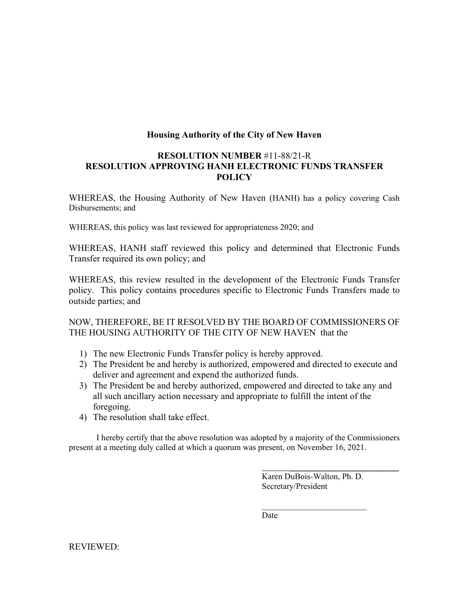## **Housing Authority of the City of New Haven**

## **RESOLUTION NUMBER** #11-88/21-R **RESOLUTION APPROVING HANH ELECTRONIC FUNDS TRANSFER POLICY**

WHEREAS, the Housing Authority of New Haven (HANH) has a policy covering Cash Disbursements; and

WHEREAS, this policy was last reviewed for appropriateness 2020; and

WHEREAS, HANH staff reviewed this policy and determined that Electronic Funds Transfer required its own policy; and

WHEREAS, this review resulted in the development of the Electronic Funds Transfer policy. This policy contains procedures specific to Electronic Funds Transfers made to outside parties; and

NOW, THEREFORE, BE IT RESOLVED BY THE BOARD OF COMMISSIONERS OF THE HOUSING AUTHORITY OF THE CITY OF NEW HAVEN that the

- 1) The new Electronic Funds Transfer policy is hereby approved.
- 2) The President be and hereby is authorized, empowered and directed to execute and deliver and agreement and expend the authorized funds.
- 3) The President be and hereby authorized, empowered and directed to take any and all such ancillary action necessary and appropriate to fulfill the intent of the foregoing.
- 4) The resolution shall take effect.

I hereby certify that the above resolution was adopted by a majority of the Commissioners present at a meeting duly called at which a quorum was present, on November 16, 2021.

 $\frac{1}{\sqrt{2}}$  ,  $\frac{1}{\sqrt{2}}$  ,  $\frac{1}{\sqrt{2}}$  ,  $\frac{1}{\sqrt{2}}$  ,  $\frac{1}{\sqrt{2}}$  ,  $\frac{1}{\sqrt{2}}$  ,  $\frac{1}{\sqrt{2}}$  ,  $\frac{1}{\sqrt{2}}$  ,  $\frac{1}{\sqrt{2}}$  ,  $\frac{1}{\sqrt{2}}$  ,  $\frac{1}{\sqrt{2}}$  ,  $\frac{1}{\sqrt{2}}$  ,  $\frac{1}{\sqrt{2}}$  ,  $\frac{1}{\sqrt{2}}$  ,  $\frac{1}{\sqrt{2}}$ 

Karen DuBois-Walton, Ph. D. Secretary/President

 $\mathcal{L}_\text{max}$  , where  $\mathcal{L}_\text{max}$  and  $\mathcal{L}_\text{max}$ 

Date

REVIEWED: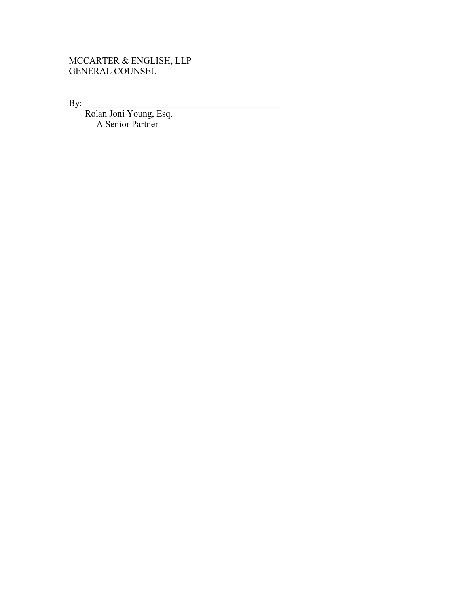# MCCARTER & ENGLISH, LLP GENERAL COUNSEL

 $\mathbf{By:}$ 

 Rolan Joni Young, Esq. A Senior Partner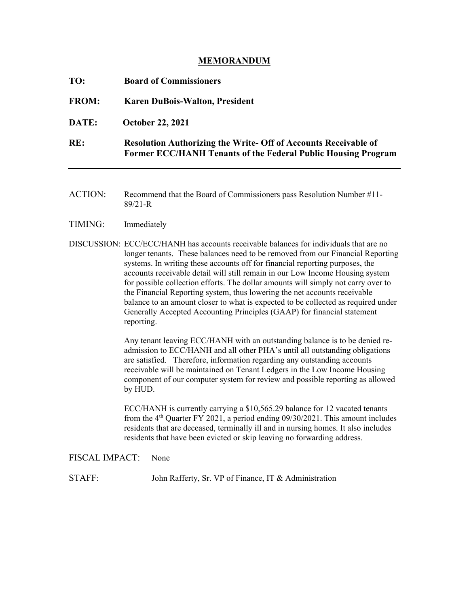#### **MEMORANDUM**

**TO: Board of Commissioners FROM: Karen DuBois-Walton, President DATE: October 22, 2021 RE: Resolution Authorizing the Write- Off of Accounts Receivable of Former ECC/HANH Tenants of the Federal Public Housing Program** 

- ACTION: Recommend that the Board of Commissioners pass Resolution Number #11- 89/21-R
- TIMING: Immediately
- DISCUSSION: ECC/ECC/HANH has accounts receivable balances for individuals that are no longer tenants. These balances need to be removed from our Financial Reporting systems. In writing these accounts off for financial reporting purposes, the accounts receivable detail will still remain in our Low Income Housing system for possible collection efforts. The dollar amounts will simply not carry over to the Financial Reporting system, thus lowering the net accounts receivable balance to an amount closer to what is expected to be collected as required under Generally Accepted Accounting Principles (GAAP) for financial statement reporting.

Any tenant leaving ECC/HANH with an outstanding balance is to be denied readmission to ECC/HANH and all other PHA's until all outstanding obligations are satisfied. Therefore, information regarding any outstanding accounts receivable will be maintained on Tenant Ledgers in the Low Income Housing component of our computer system for review and possible reporting as allowed by HUD.

ECC/HANH is currently carrying a \$10,565.29 balance for 12 vacated tenants from the  $4<sup>th</sup>$  Quarter FY 2021, a period ending 09/30/2021. This amount includes residents that are deceased, terminally ill and in nursing homes. It also includes residents that have been evicted or skip leaving no forwarding address.

#### FISCAL IMPACT: None

STAFF: John Rafferty, Sr. VP of Finance, IT & Administration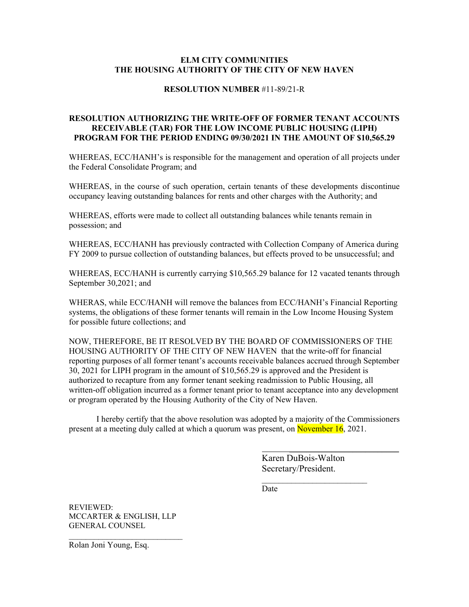#### **ELM CITY COMMUNITIES THE HOUSING AUTHORITY OF THE CITY OF NEW HAVEN**

#### **RESOLUTION NUMBER** #11-89/21-R

#### **RESOLUTION AUTHORIZING THE WRITE-OFF OF FORMER TENANT ACCOUNTS RECEIVABLE (TAR) FOR THE LOW INCOME PUBLIC HOUSING (LIPH) PROGRAM FOR THE PERIOD ENDING 09/30/2021 IN THE AMOUNT OF \$10,565.29**

WHEREAS, ECC/HANH's is responsible for the management and operation of all projects under the Federal Consolidate Program; and

WHEREAS, in the course of such operation, certain tenants of these developments discontinue occupancy leaving outstanding balances for rents and other charges with the Authority; and

WHEREAS, efforts were made to collect all outstanding balances while tenants remain in possession; and

WHEREAS, ECC/HANH has previously contracted with Collection Company of America during FY 2009 to pursue collection of outstanding balances, but effects proved to be unsuccessful; and

WHEREAS, ECC/HANH is currently carrying \$10,565.29 balance for 12 vacated tenants through September 30,2021; and

WHERAS, while ECC/HANH will remove the balances from ECC/HANH's Financial Reporting systems, the obligations of these former tenants will remain in the Low Income Housing System for possible future collections; and

NOW, THEREFORE, BE IT RESOLVED BY THE BOARD OF COMMISSIONERS OF THE HOUSING AUTHORITY OF THE CITY OF NEW HAVEN that the write-off for financial reporting purposes of all former tenant's accounts receivable balances accrued through September 30, 2021 for LIPH program in the amount of \$10,565.29 is approved and the President is authorized to recapture from any former tenant seeking readmission to Public Housing, all written-off obligation incurred as a former tenant prior to tenant acceptance into any development or program operated by the Housing Authority of the City of New Haven.

I hereby certify that the above resolution was adopted by a majority of the Commissioners present at a meeting duly called at which a quorum was present, on **November 16**, 2021.

 $\frac{1}{\sqrt{2}}$  ,  $\frac{1}{\sqrt{2}}$  ,  $\frac{1}{\sqrt{2}}$  ,  $\frac{1}{\sqrt{2}}$  ,  $\frac{1}{\sqrt{2}}$  ,  $\frac{1}{\sqrt{2}}$  ,  $\frac{1}{\sqrt{2}}$  ,  $\frac{1}{\sqrt{2}}$  ,  $\frac{1}{\sqrt{2}}$  ,  $\frac{1}{\sqrt{2}}$  ,  $\frac{1}{\sqrt{2}}$  ,  $\frac{1}{\sqrt{2}}$  ,  $\frac{1}{\sqrt{2}}$  ,  $\frac{1}{\sqrt{2}}$  ,  $\frac{1}{\sqrt{2}}$ 

Karen DuBois-Walton Secretary/President.

 $\mathcal{L}_\text{max}$ 

Date

REVIEWED: MCCARTER & ENGLISH, LLP GENERAL COUNSEL

 $\mathcal{L}_\text{max}$ 

Rolan Joni Young, Esq.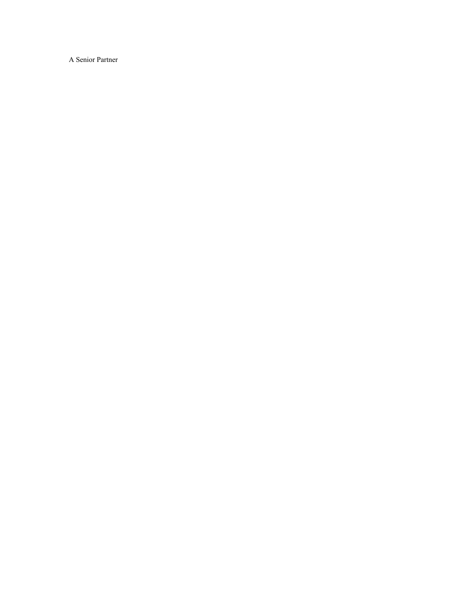A Senior Partner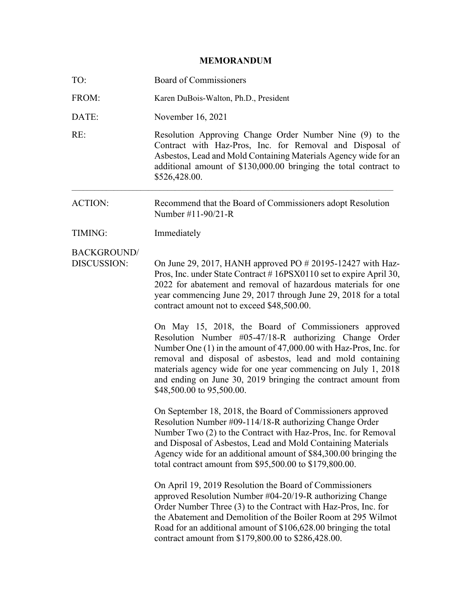# **MEMORANDUM**

| TO:                               | Board of Commissioners                                                                                                                                                                                                                                                                                                                                                                                                                                                                                                                                                                                                                                                                                                                                                                                      |
|-----------------------------------|-------------------------------------------------------------------------------------------------------------------------------------------------------------------------------------------------------------------------------------------------------------------------------------------------------------------------------------------------------------------------------------------------------------------------------------------------------------------------------------------------------------------------------------------------------------------------------------------------------------------------------------------------------------------------------------------------------------------------------------------------------------------------------------------------------------|
| FROM:                             | Karen DuBois-Walton, Ph.D., President                                                                                                                                                                                                                                                                                                                                                                                                                                                                                                                                                                                                                                                                                                                                                                       |
| DATE:                             | November 16, 2021                                                                                                                                                                                                                                                                                                                                                                                                                                                                                                                                                                                                                                                                                                                                                                                           |
| RE:                               | Resolution Approving Change Order Number Nine (9) to the<br>Contract with Haz-Pros, Inc. for Removal and Disposal of<br>Asbestos, Lead and Mold Containing Materials Agency wide for an<br>additional amount of \$130,000.00 bringing the total contract to<br>\$526,428.00.                                                                                                                                                                                                                                                                                                                                                                                                                                                                                                                                |
| <b>ACTION:</b>                    | Recommend that the Board of Commissioners adopt Resolution<br>Number $\#11 - 90/21 - R$                                                                                                                                                                                                                                                                                                                                                                                                                                                                                                                                                                                                                                                                                                                     |
| TIMING:                           | Immediately                                                                                                                                                                                                                                                                                                                                                                                                                                                                                                                                                                                                                                                                                                                                                                                                 |
| <b>BACKGROUND/</b><br>DISCUSSION: | On June 29, 2017, HANH approved PO $\#$ 20195-12427 with Haz-<br>Pros, Inc. under State Contract #16PSX0110 set to expire April 30,<br>2022 for abatement and removal of hazardous materials for one<br>year commencing June 29, 2017 through June 29, 2018 for a total<br>contract amount not to exceed \$48,500.00.<br>On May 15, 2018, the Board of Commissioners approved<br>Resolution Number #05-47/18-R authorizing Change Order<br>Number One (1) in the amount of 47,000.00 with Haz-Pros, Inc. for<br>removal and disposal of asbestos, lead and mold containing<br>materials agency wide for one year commencing on July 1, 2018<br>and ending on June 30, 2019 bringing the contract amount from                                                                                                |
|                                   | \$48,500.00 to 95,500.00.<br>On September 18, 2018, the Board of Commissioners approved<br>Resolution Number #09-114/18-R authorizing Change Order<br>Number Two (2) to the Contract with Haz-Pros, Inc. for Removal<br>and Disposal of Asbestos, Lead and Mold Containing Materials<br>Agency wide for an additional amount of \$84,300.00 bringing the<br>total contract amount from $$95,500.00$ to $$179,800.00$ .<br>On April 19, 2019 Resolution the Board of Commissioners<br>approved Resolution Number #04-20/19-R authorizing Change<br>Order Number Three (3) to the Contract with Haz-Pros, Inc. for<br>the Abatement and Demolition of the Boiler Room at 295 Wilmot<br>Road for an additional amount of \$106,628.00 bringing the total<br>contract amount from \$179,800.00 to \$286,428.00. |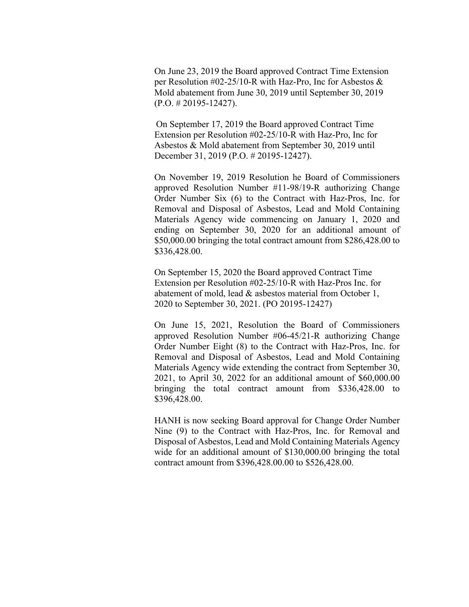On June 23, 2019 the Board approved Contract Time Extension per Resolution #02-25/10-R with Haz-Pro, Inc for Asbestos & Mold abatement from June 30, 2019 until September 30, 2019 (P.O. # 20195-12427).

On September 17, 2019 the Board approved Contract Time Extension per Resolution #02-25/10-R with Haz-Pro, Inc for Asbestos & Mold abatement from September 30, 2019 until December 31, 2019 (P.O. # 20195-12427).

On November 19, 2019 Resolution he Board of Commissioners approved Resolution Number #11-98/19-R authorizing Change Order Number Six (6) to the Contract with Haz-Pros, Inc. for Removal and Disposal of Asbestos, Lead and Mold Containing Materials Agency wide commencing on January 1, 2020 and ending on September 30, 2020 for an additional amount of \$50,000.00 bringing the total contract amount from \$286,428.00 to \$336,428.00.

On September 15, 2020 the Board approved Contract Time Extension per Resolution #02-25/10-R with Haz-Pros Inc. for abatement of mold, lead & asbestos material from October 1, 2020 to September 30, 2021. (PO 20195-12427)

On June 15, 2021, Resolution the Board of Commissioners approved Resolution Number #06-45/21-R authorizing Change Order Number Eight (8) to the Contract with Haz-Pros, Inc. for Removal and Disposal of Asbestos, Lead and Mold Containing Materials Agency wide extending the contract from September 30, 2021, to April 30, 2022 for an additional amount of \$60,000.00 bringing the total contract amount from \$336,428.00 to \$396,428.00.

HANH is now seeking Board approval for Change Order Number Nine (9) to the Contract with Haz-Pros, Inc. for Removal and Disposal of Asbestos, Lead and Mold Containing Materials Agency wide for an additional amount of \$130,000.00 bringing the total contract amount from \$396,428.00.00 to \$526,428.00.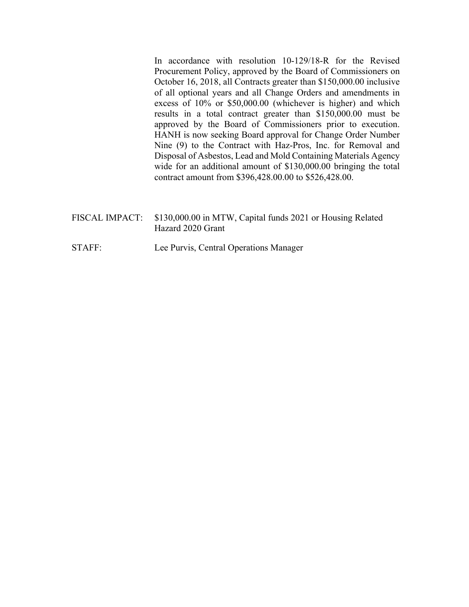In accordance with resolution 10-129/18-R for the Revised Procurement Policy, approved by the Board of Commissioners on October 16, 2018, all Contracts greater than \$150,000.00 inclusive of all optional years and all Change Orders and amendments in excess of 10% or \$50,000.00 (whichever is higher) and which results in a total contract greater than \$150,000.00 must be approved by the Board of Commissioners prior to execution. HANH is now seeking Board approval for Change Order Number Nine (9) to the Contract with Haz-Pros, Inc. for Removal and Disposal of Asbestos, Lead and Mold Containing Materials Agency wide for an additional amount of \$130,000.00 bringing the total contract amount from \$396,428.00.00 to \$526,428.00.

- FISCAL IMPACT: \$130,000.00 in MTW, Capital funds 2021 or Housing Related Hazard 2020 Grant
- STAFF: Lee Purvis, Central Operations Manager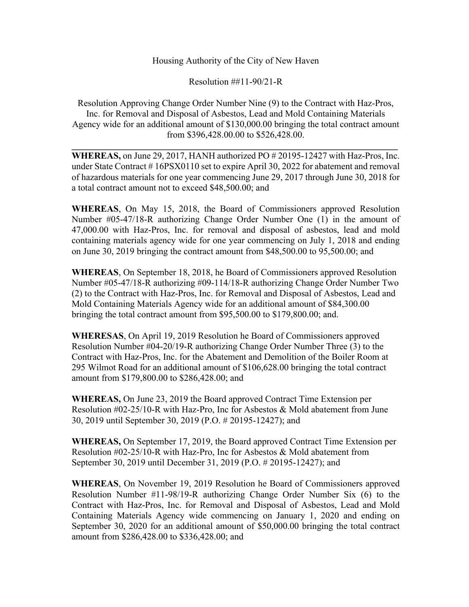## Housing Authority of the City of New Haven

Resolution ##11-90/21-R

Resolution Approving Change Order Number Nine (9) to the Contract with Haz-Pros, Inc. for Removal and Disposal of Asbestos, Lead and Mold Containing Materials Agency wide for an additional amount of \$130,000.00 bringing the total contract amount from \$396,428.00.00 to \$526,428.00.

**\_\_\_\_\_\_\_\_\_\_\_\_\_\_\_\_\_\_\_\_\_\_\_\_\_\_\_\_\_\_\_\_\_\_\_\_\_\_\_\_\_\_\_\_\_\_\_\_\_\_\_\_\_\_\_\_\_\_\_\_\_\_\_\_\_\_\_\_\_\_\_** 

**WHEREAS,** on June 29, 2017, HANH authorized PO # 20195-12427 with Haz-Pros, Inc. under State Contract # 16PSX0110 set to expire April 30, 2022 for abatement and removal of hazardous materials for one year commencing June 29, 2017 through June 30, 2018 for a total contract amount not to exceed \$48,500.00; and

**WHEREAS**, On May 15, 2018, the Board of Commissioners approved Resolution Number #05-47/18-R authorizing Change Order Number One (1) in the amount of 47,000.00 with Haz-Pros, Inc. for removal and disposal of asbestos, lead and mold containing materials agency wide for one year commencing on July 1, 2018 and ending on June 30, 2019 bringing the contract amount from \$48,500.00 to 95,500.00; and

**WHEREAS**, On September 18, 2018, he Board of Commissioners approved Resolution Number #05-47/18-R authorizing #09-114/18-R authorizing Change Order Number Two (2) to the Contract with Haz-Pros, Inc. for Removal and Disposal of Asbestos, Lead and Mold Containing Materials Agency wide for an additional amount of \$84,300.00 bringing the total contract amount from \$95,500.00 to \$179,800.00; and.

**WHERESAS**, On April 19, 2019 Resolution he Board of Commissioners approved Resolution Number #04-20/19-R authorizing Change Order Number Three (3) to the Contract with Haz-Pros, Inc. for the Abatement and Demolition of the Boiler Room at 295 Wilmot Road for an additional amount of \$106,628.00 bringing the total contract amount from \$179,800.00 to \$286,428.00; and

**WHEREAS,** On June 23, 2019 the Board approved Contract Time Extension per Resolution #02-25/10-R with Haz-Pro, Inc for Asbestos & Mold abatement from June 30, 2019 until September 30, 2019 (P.O. # 20195-12427); and

**WHEREAS,** On September 17, 2019, the Board approved Contract Time Extension per Resolution #02-25/10-R with Haz-Pro, Inc for Asbestos & Mold abatement from September 30, 2019 until December 31, 2019 (P.O. # 20195-12427); and

**WHEREAS**, On November 19, 2019 Resolution he Board of Commissioners approved Resolution Number #11-98/19-R authorizing Change Order Number Six (6) to the Contract with Haz-Pros, Inc. for Removal and Disposal of Asbestos, Lead and Mold Containing Materials Agency wide commencing on January 1, 2020 and ending on September 30, 2020 for an additional amount of \$50,000.00 bringing the total contract amount from \$286,428.00 to \$336,428.00; and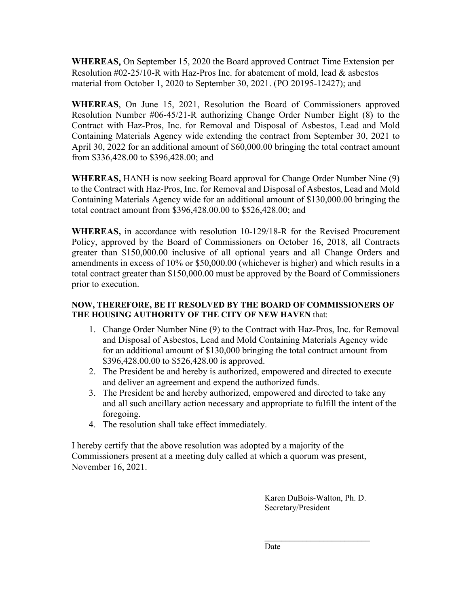**WHEREAS**, On September 15, 2020 the Board approved Contract Time Extension per Resolution  $\text{\#}02\text{-}25/10\text{-R}$  with Haz-Pros Inc. for abatement of mold, lead & asbestos material from October 1, 2020 to September 30, 2021. (PO 20195-12427); and

**WHEREAS**, On June 15, 2021, Resolution the Board of Commissioners approved Resolution Number #06-45/21-R authorizing Change Order Number Eight (8) to the Contract with Haz-Pros, Inc. for Removal and Disposal of Asbestos, Lead and Mold Containing Materials Agency wide extending the contract from September 30, 2021 to April 30, 2022 for an additional amount of \$60,000.00 bringing the total contract amount from \$336,428.00 to \$396,428.00; and

**WHEREAS,** HANH is now seeking Board approval for Change Order Number Nine (9) to the Contract with Haz-Pros, Inc. for Removal and Disposal of Asbestos, Lead and Mold Containing Materials Agency wide for an additional amount of \$130,000.00 bringing the total contract amount from \$396,428.00.00 to \$526,428.00; and

**WHEREAS,** in accordance with resolution 10-129/18-R for the Revised Procurement Policy, approved by the Board of Commissioners on October 16, 2018, all Contracts greater than \$150,000.00 inclusive of all optional years and all Change Orders and amendments in excess of 10% or \$50,000.00 (whichever is higher) and which results in a total contract greater than \$150,000.00 must be approved by the Board of Commissioners prior to execution.

## **NOW, THEREFORE, BE IT RESOLVED BY THE BOARD OF COMMISSIONERS OF THE HOUSING AUTHORITY OF THE CITY OF NEW HAVEN** that:

- 1. Change Order Number Nine (9) to the Contract with Haz-Pros, Inc. for Removal and Disposal of Asbestos, Lead and Mold Containing Materials Agency wide for an additional amount of \$130,000 bringing the total contract amount from \$396,428.00.00 to \$526,428.00 is approved.
- 2. The President be and hereby is authorized, empowered and directed to execute and deliver an agreement and expend the authorized funds.
- 3. The President be and hereby authorized, empowered and directed to take any and all such ancillary action necessary and appropriate to fulfill the intent of the foregoing.
- 4. The resolution shall take effect immediately.

I hereby certify that the above resolution was adopted by a majority of the Commissioners present at a meeting duly called at which a quorum was present, November 16, 2021.

> Karen DuBois-Walton, Ph. D. Secretary/President

 $\mathcal{L}_\text{max}$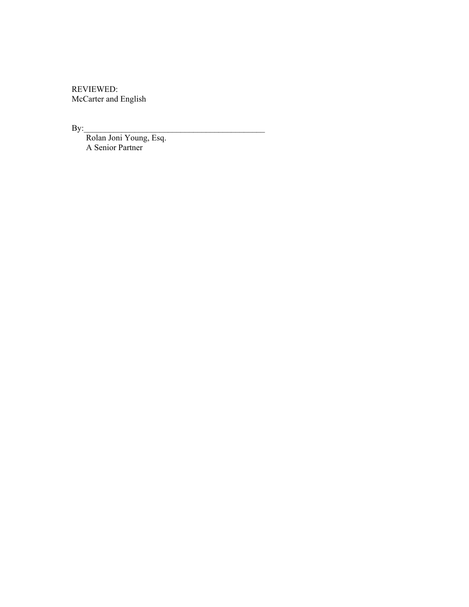REVIEWED: McCarter and English

 $\mathbf{By:}$ 

Rolan Joni Young, Esq. A Senior Partner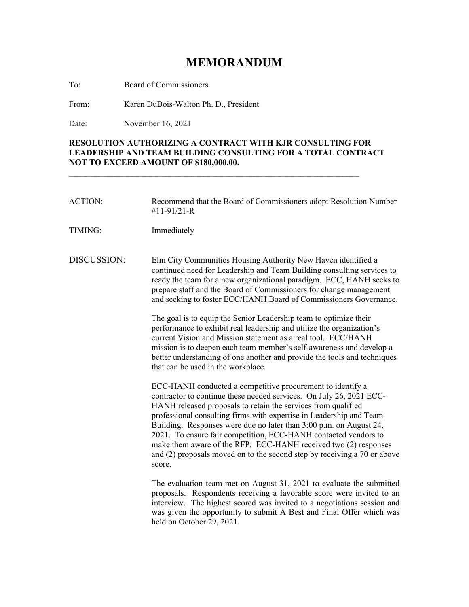# **MEMORANDUM**

To: Board of Commissioners

From: Karen DuBois-Walton Ph. D., President

Date: November 16, 2021

#### **RESOLUTION AUTHORIZING A CONTRACT WITH KJR CONSULTING FOR LEADERSHIP AND TEAM BUILDING CONSULTING FOR A TOTAL CONTRACT NOT TO EXCEED AMOUNT OF \$180,000.00.**

 $\mathcal{L}_\text{max} = \frac{1}{2} \sum_{i=1}^n \mathcal{L}_\text{max}(\mathbf{x}_i - \mathbf{y}_i)$ 

| <b>ACTION:</b> | Recommend that the Board of Commissioners adopt Resolution Number<br>#11-91/21-R                                                                                                                                                                                                                                                                                                                                                                                                                                                                                            |
|----------------|-----------------------------------------------------------------------------------------------------------------------------------------------------------------------------------------------------------------------------------------------------------------------------------------------------------------------------------------------------------------------------------------------------------------------------------------------------------------------------------------------------------------------------------------------------------------------------|
| TIMING:        | Immediately                                                                                                                                                                                                                                                                                                                                                                                                                                                                                                                                                                 |
| DISCUSSION:    | Elm City Communities Housing Authority New Haven identified a<br>continued need for Leadership and Team Building consulting services to<br>ready the team for a new organizational paradigm. ECC, HANH seeks to<br>prepare staff and the Board of Commissioners for change management<br>and seeking to foster ECC/HANH Board of Commissioners Governance.                                                                                                                                                                                                                  |
|                | The goal is to equip the Senior Leadership team to optimize their<br>performance to exhibit real leadership and utilize the organization's<br>current Vision and Mission statement as a real tool. ECC/HANH<br>mission is to deepen each team member's self-awareness and develop a<br>better understanding of one another and provide the tools and techniques<br>that can be used in the workplace.                                                                                                                                                                       |
|                | ECC-HANH conducted a competitive procurement to identify a<br>contractor to continue these needed services. On July 26, 2021 ECC-<br>HANH released proposals to retain the services from qualified<br>professional consulting firms with expertise in Leadership and Team<br>Building. Responses were due no later than 3:00 p.m. on August 24,<br>2021. To ensure fair competition, ECC-HANH contacted vendors to<br>make them aware of the RFP. ECC-HANH received two (2) responses<br>and (2) proposals moved on to the second step by receiving a 70 or above<br>score. |
|                | The evaluation team met on August 31, 2021 to evaluate the submitted<br>proposals. Respondents receiving a favorable score were invited to an<br>interview. The highest scored was invited to a negotiations session and<br>was given the opportunity to submit A Best and Final Offer which was<br>held on October 29, 2021.                                                                                                                                                                                                                                               |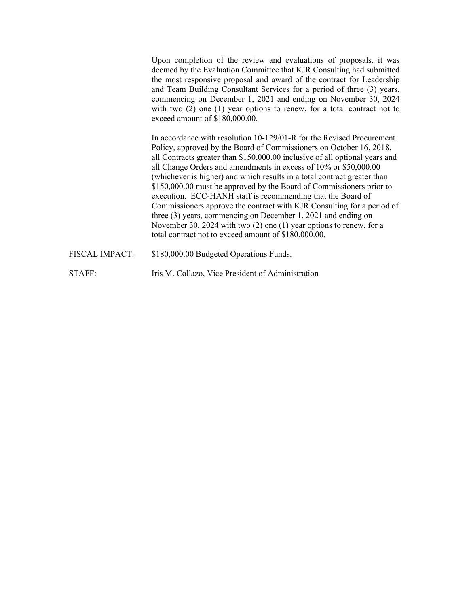Upon completion of the review and evaluations of proposals, it was deemed by the Evaluation Committee that KJR Consulting had submitted the most responsive proposal and award of the contract for Leadership and Team Building Consultant Services for a period of three (3) years, commencing on December 1, 2021 and ending on November 30, 2024 with two (2) one (1) year options to renew, for a total contract not to exceed amount of \$180,000.00.

In accordance with resolution 10-129/01-R for the Revised Procurement Policy, approved by the Board of Commissioners on October 16, 2018, all Contracts greater than \$150,000.00 inclusive of all optional years and all Change Orders and amendments in excess of 10% or \$50,000.00 (whichever is higher) and which results in a total contract greater than \$150,000.00 must be approved by the Board of Commissioners prior to execution. ECC-HANH staff is recommending that the Board of Commissioners approve the contract with KJR Consulting for a period of three (3) years, commencing on December 1, 2021 and ending on November 30, 2024 with two (2) one (1) year options to renew, for a total contract not to exceed amount of \$180,000.00.

- FISCAL IMPACT: \$180,000.00 Budgeted Operations Funds.
- STAFF: Iris M. Collazo, Vice President of Administration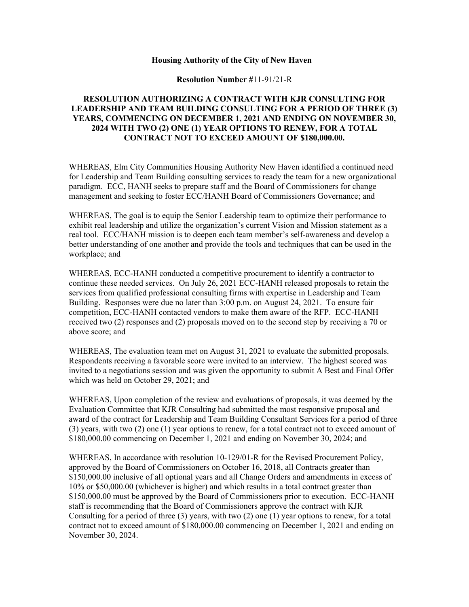#### **Housing Authority of the City of New Haven**

#### **Resolution Number #**11-91/21-R

#### **RESOLUTION AUTHORIZING A CONTRACT WITH KJR CONSULTING FOR LEADERSHIP AND TEAM BUILDING CONSULTING FOR A PERIOD OF THREE (3) YEARS, COMMENCING ON DECEMBER 1, 2021 AND ENDING ON NOVEMBER 30, 2024 WITH TWO (2) ONE (1) YEAR OPTIONS TO RENEW, FOR A TOTAL CONTRACT NOT TO EXCEED AMOUNT OF \$180,000.00.**

WHEREAS, Elm City Communities Housing Authority New Haven identified a continued need for Leadership and Team Building consulting services to ready the team for a new organizational paradigm. ECC, HANH seeks to prepare staff and the Board of Commissioners for change management and seeking to foster ECC/HANH Board of Commissioners Governance; and

WHEREAS, The goal is to equip the Senior Leadership team to optimize their performance to exhibit real leadership and utilize the organization's current Vision and Mission statement as a real tool. ECC/HANH mission is to deepen each team member's self-awareness and develop a better understanding of one another and provide the tools and techniques that can be used in the workplace; and

WHEREAS, ECC-HANH conducted a competitive procurement to identify a contractor to continue these needed services. On July 26, 2021 ECC-HANH released proposals to retain the services from qualified professional consulting firms with expertise in Leadership and Team Building. Responses were due no later than 3:00 p.m. on August 24, 2021. To ensure fair competition, ECC-HANH contacted vendors to make them aware of the RFP. ECC-HANH received two (2) responses and (2) proposals moved on to the second step by receiving a 70 or above score; and

WHEREAS, The evaluation team met on August 31, 2021 to evaluate the submitted proposals. Respondents receiving a favorable score were invited to an interview. The highest scored was invited to a negotiations session and was given the opportunity to submit A Best and Final Offer which was held on October 29, 2021; and

WHEREAS, Upon completion of the review and evaluations of proposals, it was deemed by the Evaluation Committee that KJR Consulting had submitted the most responsive proposal and award of the contract for Leadership and Team Building Consultant Services for a period of three (3) years, with two (2) one (1) year options to renew, for a total contract not to exceed amount of \$180,000.00 commencing on December 1, 2021 and ending on November 30, 2024; and

WHEREAS, In accordance with resolution 10-129/01-R for the Revised Procurement Policy, approved by the Board of Commissioners on October 16, 2018, all Contracts greater than \$150,000.00 inclusive of all optional years and all Change Orders and amendments in excess of 10% or \$50,000.00 (whichever is higher) and which results in a total contract greater than \$150,000.00 must be approved by the Board of Commissioners prior to execution. ECC-HANH staff is recommending that the Board of Commissioners approve the contract with KJR Consulting for a period of three (3) years, with two (2) one (1) year options to renew, for a total contract not to exceed amount of \$180,000.00 commencing on December 1, 2021 and ending on November 30, 2024.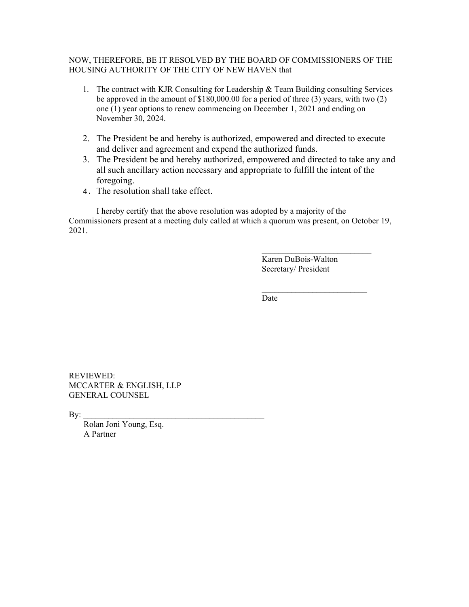#### NOW, THEREFORE, BE IT RESOLVED BY THE BOARD OF COMMISSIONERS OF THE HOUSING AUTHORITY OF THE CITY OF NEW HAVEN that

- 1. The contract with KJR Consulting for Leadership & Team Building consulting Services be approved in the amount of \$180,000.00 for a period of three (3) years, with two (2) one (1) year options to renew commencing on December 1, 2021 and ending on November 30, 2024.
- 2. The President be and hereby is authorized, empowered and directed to execute and deliver and agreement and expend the authorized funds.
- 3. The President be and hereby authorized, empowered and directed to take any and all such ancillary action necessary and appropriate to fulfill the intent of the foregoing.
- 4. The resolution shall take effect.

I hereby certify that the above resolution was adopted by a majority of the Commissioners present at a meeting duly called at which a quorum was present, on October 19, 2021.

> Karen DuBois-Walton Secretary/ President

 $\mathcal{L}_\text{max}$ 

 $\mathcal{L}_\text{max}$ 

Date

REVIEWED: MCCARTER & ENGLISH, LLP GENERAL COUNSEL

 $\mathbf{By:}$ 

 Rolan Joni Young, Esq. A Partner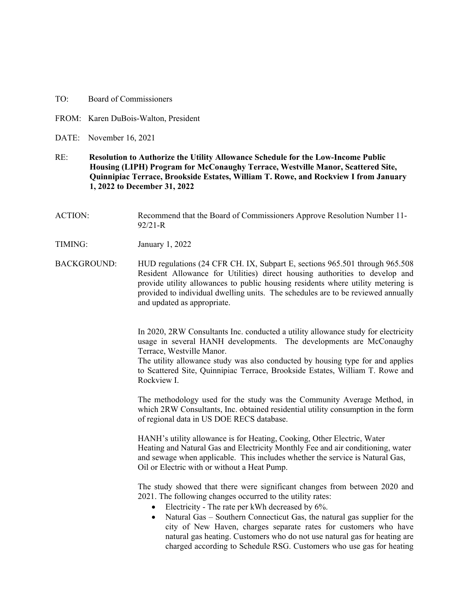- TO: Board of Commissioners
- FROM: Karen DuBois-Walton, President
- DATE: November 16, 2021
- RE: **Resolution to Authorize the Utility Allowance Schedule for the Low-Income Public Housing (LIPH) Program for McConaughy Terrace, Westville Manor, Scattered Site, Quinnipiac Terrace, Brookside Estates, William T. Rowe, and Rockview I from January 1, 2022 to December 31, 2022**
- ACTION: Recommend that the Board of Commissioners Approve Resolution Number 11- 92/21-R
- TIMING: January 1, 2022
- BACKGROUND: HUD regulations (24 CFR CH. IX, Subpart E, sections 965.501 through 965.508 Resident Allowance for Utilities) direct housing authorities to develop and provide utility allowances to public housing residents where utility metering is provided to individual dwelling units. The schedules are to be reviewed annually and updated as appropriate.

In 2020, 2RW Consultants Inc. conducted a utility allowance study for electricity usage in several HANH developments. The developments are McConaughy Terrace, Westville Manor.

The utility allowance study was also conducted by housing type for and applies to Scattered Site, Quinnipiac Terrace, Brookside Estates, William T. Rowe and Rockview I.

The methodology used for the study was the Community Average Method, in which 2RW Consultants, Inc. obtained residential utility consumption in the form of regional data in US DOE RECS database.

HANH's utility allowance is for Heating, Cooking, Other Electric, Water Heating and Natural Gas and Electricity Monthly Fee and air conditioning, water and sewage when applicable. This includes whether the service is Natural Gas, Oil or Electric with or without a Heat Pump.

The study showed that there were significant changes from between 2020 and 2021. The following changes occurred to the utility rates:

- Electricity The rate per kWh decreased by 6%.
- Natural Gas Southern Connecticut Gas, the natural gas supplier for the city of New Haven, charges separate rates for customers who have natural gas heating. Customers who do not use natural gas for heating are charged according to Schedule RSG. Customers who use gas for heating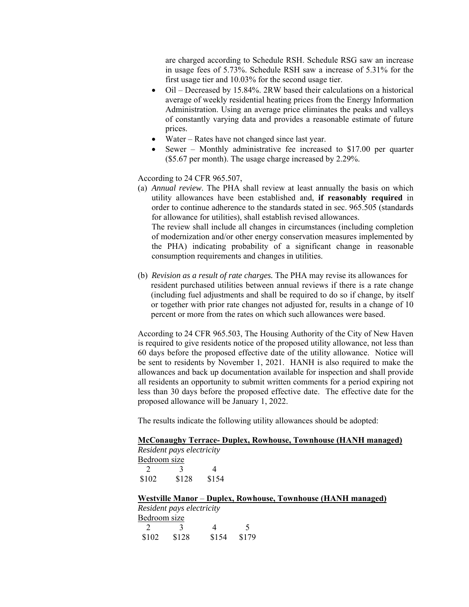are charged according to Schedule RSH. Schedule RSG saw an increase in usage fees of 5.73%. Schedule RSH saw a increase of 5.31% for the first usage tier and 10.03% for the second usage tier.

- Oil Decreased by 15.84%. 2RW based their calculations on a historical average of weekly residential heating prices from the Energy Information Administration. Using an average price eliminates the peaks and valleys of constantly varying data and provides a reasonable estimate of future prices.
- Water Rates have not changed since last year.
- Sewer Monthly administrative fee increased to \$17.00 per quarter (\$5.67 per month). The usage charge increased by 2.29%.

According to 24 CFR 965.507,

(a) *Annual review*. The PHA shall review at least annually the basis on which utility allowances have been established and, **if reasonably required** in order to continue adherence to the standards stated in sec. 965.505 (standards for allowance for utilities), shall establish revised allowances.

The review shall include all changes in circumstances (including completion of modernization and/or other energy conservation measures implemented by the PHA) indicating probability of a significant change in reasonable consumption requirements and changes in utilities.

(b) *Revision as a result of rate charges.* The PHA may revise its allowances for resident purchased utilities between annual reviews if there is a rate change (including fuel adjustments and shall be required to do so if change, by itself or together with prior rate changes not adjusted for, results in a change of 10 percent or more from the rates on which such allowances were based.

According to 24 CFR 965.503, The Housing Authority of the City of New Haven is required to give residents notice of the proposed utility allowance, not less than 60 days before the proposed effective date of the utility allowance. Notice will be sent to residents by November 1, 2021. HANH is also required to make the allowances and back up documentation available for inspection and shall provide all residents an opportunity to submit written comments for a period expiring not less than 30 days before the proposed effective date. The effective date for the proposed allowance will be January 1, 2022.

The results indicate the following utility allowances should be adopted:

#### **McConaughy Terrace- Duplex, Rowhouse, Townhouse (HANH managed)**

*Resident pays electricity*  Bedroom size 2 3 4 \$102 \$128 \$154

**Westville Manor** – **Duplex, Rowhouse, Townhouse (HANH managed)**  *Resident pays electricity* 

| nesiaeni pays electricity |       |       |       |  |
|---------------------------|-------|-------|-------|--|
| Bedroom size              |       |       |       |  |
| $\mathcal{L}$             |       |       |       |  |
| \$102                     | \$128 | \$154 | \$179 |  |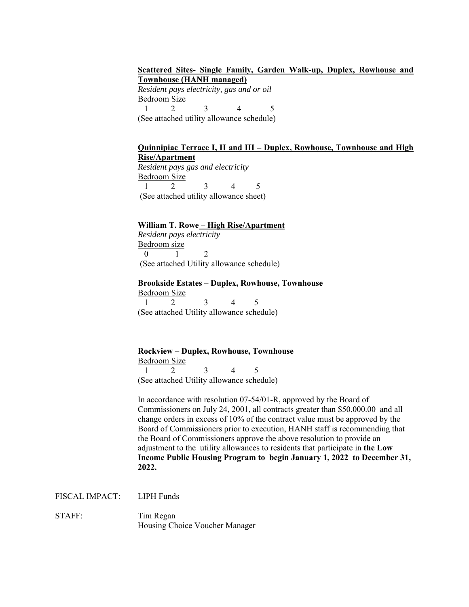#### **Scattered Sites- Single Family, Garden Walk-up, Duplex, Rowhouse and Townhouse (HANH managed)**

*Resident pays electricity, gas and or oil*  Bedroom Size 1 2 3 4 5 (See attached utility allowance schedule)

#### **Quinnipiac Terrace I, II and III – Duplex, Rowhouse, Townhouse and High Rise/Apartment**

*Resident pays gas and electricity*  Bedroom Size 1 2 3 4 5 (See attached utility allowance sheet)

#### **William T. Rowe – High Rise/Apartment**

*Resident pays electricity*  Bedroom size 0 1 2 (See attached Utility allowance schedule)

#### **Brookside Estates – Duplex, Rowhouse, Townhouse**

Bedroom Size 1 2 3 4 5 (See attached Utility allowance schedule)

#### **Rockview – Duplex, Rowhouse, Townhouse**

Bedroom Size 1 2 3 4 5 (See attached Utility allowance schedule)

In accordance with resolution 07-54/01-R, approved by the Board of Commissioners on July 24, 2001, all contracts greater than \$50,000.00 and all change orders in excess of 10% of the contract value must be approved by the Board of Commissioners prior to execution, HANH staff is recommending that the Board of Commissioners approve the above resolution to provide an adjustment to the utility allowances to residents that participate in **the Low Income Public Housing Program to begin January 1, 2022 to December 31, 2022.** 

FISCAL IMPACT: LIPH Funds

STAFF: Tim Regan Housing Choice Voucher Manager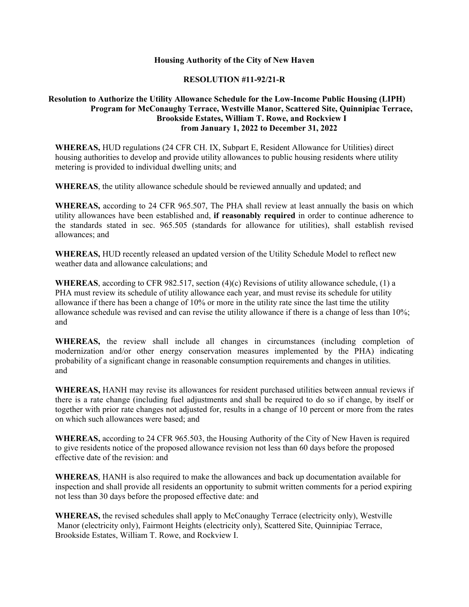#### **Housing Authority of the City of New Haven**

#### **RESOLUTION #11-92/21-R**

#### **Resolution to Authorize the Utility Allowance Schedule for the Low-Income Public Housing (LIPH) Program for McConaughy Terrace, Westville Manor, Scattered Site, Quinnipiac Terrace, Brookside Estates, William T. Rowe, and Rockview I from January 1, 2022 to December 31, 2022**

**WHEREAS,** HUD regulations (24 CFR CH. IX, Subpart E, Resident Allowance for Utilities) direct housing authorities to develop and provide utility allowances to public housing residents where utility metering is provided to individual dwelling units; and

**WHEREAS**, the utility allowance schedule should be reviewed annually and updated; and

**WHEREAS,** according to 24 CFR 965.507, The PHA shall review at least annually the basis on which utility allowances have been established and, **if reasonably required** in order to continue adherence to the standards stated in sec. 965.505 (standards for allowance for utilities), shall establish revised allowances; and

**WHEREAS,** HUD recently released an updated version of the Utility Schedule Model to reflect new weather data and allowance calculations; and

**WHEREAS**, according to CFR 982.517, section (4)(c) Revisions of utility allowance schedule, (1) a PHA must review its schedule of utility allowance each year, and must revise its schedule for utility allowance if there has been a change of 10% or more in the utility rate since the last time the utility allowance schedule was revised and can revise the utility allowance if there is a change of less than 10%; and

**WHEREAS,** the review shall include all changes in circumstances (including completion of modernization and/or other energy conservation measures implemented by the PHA) indicating probability of a significant change in reasonable consumption requirements and changes in utilities. and

**WHEREAS,** HANH may revise its allowances for resident purchased utilities between annual reviews if there is a rate change (including fuel adjustments and shall be required to do so if change, by itself or together with prior rate changes not adjusted for, results in a change of 10 percent or more from the rates on which such allowances were based; and

**WHEREAS,** according to 24 CFR 965.503, the Housing Authority of the City of New Haven is required to give residents notice of the proposed allowance revision not less than 60 days before the proposed effective date of the revision: and

**WHEREAS**, HANH is also required to make the allowances and back up documentation available for inspection and shall provide all residents an opportunity to submit written comments for a period expiring not less than 30 days before the proposed effective date: and

**WHEREAS,** the revised schedules shall apply to McConaughy Terrace (electricity only), Westville Manor (electricity only), Fairmont Heights (electricity only), Scattered Site, Quinnipiac Terrace, Brookside Estates, William T. Rowe, and Rockview I.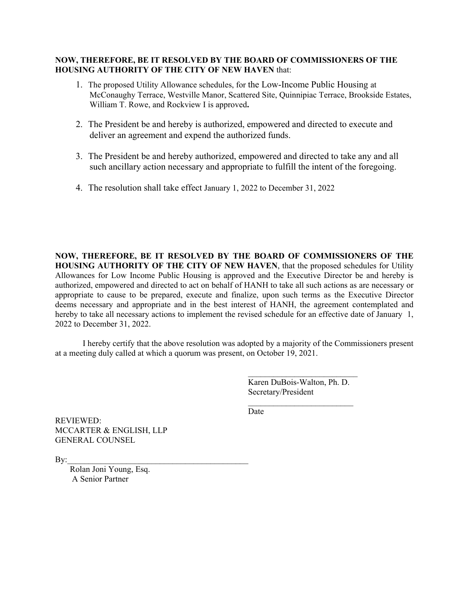#### **NOW, THEREFORE, BE IT RESOLVED BY THE BOARD OF COMMISSIONERS OF THE HOUSING AUTHORITY OF THE CITY OF NEW HAVEN** that:

- 1. The proposed Utility Allowance schedules, for the Low-Income Public Housing at McConaughy Terrace, Westville Manor, Scattered Site, Quinnipiac Terrace, Brookside Estates, William T. Rowe, and Rockview I is approved**.**
- 2. The President be and hereby is authorized, empowered and directed to execute and deliver an agreement and expend the authorized funds.
- 3. The President be and hereby authorized, empowered and directed to take any and all such ancillary action necessary and appropriate to fulfill the intent of the foregoing.
- 4. The resolution shall take effect January 1, 2022 to December 31, 2022

**NOW, THEREFORE, BE IT RESOLVED BY THE BOARD OF COMMISSIONERS OF THE HOUSING AUTHORITY OF THE CITY OF NEW HAVEN**, that the proposed schedules for Utility Allowances for Low Income Public Housing is approved and the Executive Director be and hereby is authorized, empowered and directed to act on behalf of HANH to take all such actions as are necessary or appropriate to cause to be prepared, execute and finalize, upon such terms as the Executive Director deems necessary and appropriate and in the best interest of HANH, the agreement contemplated and hereby to take all necessary actions to implement the revised schedule for an effective date of January 1, 2022 to December 31, 2022.

I hereby certify that the above resolution was adopted by a majority of the Commissioners present at a meeting duly called at which a quorum was present, on October 19, 2021.

> Karen DuBois-Walton, Ph. D. Secretary/President

 $\mathcal{L}_\text{max}$ 

 $\_$ 

Date

REVIEWED: MCCARTER & ENGLISH, LLP GENERAL COUNSEL

 $\mathbf{By:}$ 

 Rolan Joni Young, Esq. A Senior Partner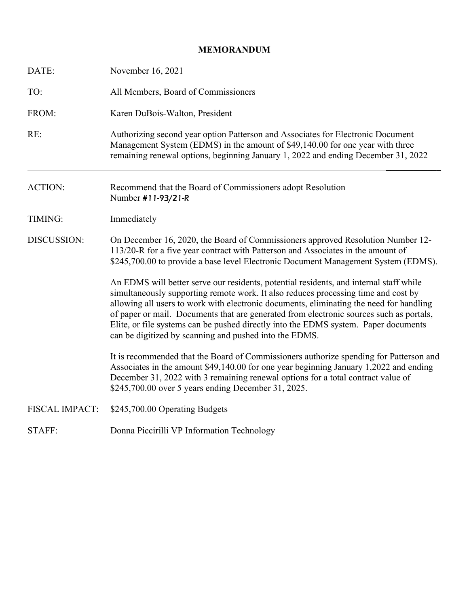## **MEMORANDUM**

| DATE:                 | November 16, 2021                                                                                                                                                                                                                                                                                                                                                                                                                                                                                                   |
|-----------------------|---------------------------------------------------------------------------------------------------------------------------------------------------------------------------------------------------------------------------------------------------------------------------------------------------------------------------------------------------------------------------------------------------------------------------------------------------------------------------------------------------------------------|
| TO:                   | All Members, Board of Commissioners                                                                                                                                                                                                                                                                                                                                                                                                                                                                                 |
| FROM:                 | Karen DuBois-Walton, President                                                                                                                                                                                                                                                                                                                                                                                                                                                                                      |
| RE:                   | Authorizing second year option Patterson and Associates for Electronic Document<br>Management System (EDMS) in the amount of \$49,140.00 for one year with three<br>remaining renewal options, beginning January 1, 2022 and ending December 31, 2022                                                                                                                                                                                                                                                               |
| <b>ACTION:</b>        | Recommend that the Board of Commissioners adopt Resolution<br>Number #11-93/21-R                                                                                                                                                                                                                                                                                                                                                                                                                                    |
| TIMING:               | Immediately                                                                                                                                                                                                                                                                                                                                                                                                                                                                                                         |
| DISCUSSION:           | On December 16, 2020, the Board of Commissioners approved Resolution Number 12-<br>113/20-R for a five year contract with Patterson and Associates in the amount of<br>\$245,700.00 to provide a base level Electronic Document Management System (EDMS).                                                                                                                                                                                                                                                           |
|                       | An EDMS will better serve our residents, potential residents, and internal staff while<br>simultaneously supporting remote work. It also reduces processing time and cost by<br>allowing all users to work with electronic documents, eliminating the need for handling<br>of paper or mail. Documents that are generated from electronic sources such as portals,<br>Elite, or file systems can be pushed directly into the EDMS system. Paper documents<br>can be digitized by scanning and pushed into the EDMS. |
|                       | It is recommended that the Board of Commissioners authorize spending for Patterson and<br>Associates in the amount \$49,140.00 for one year beginning January 1,2022 and ending<br>December 31, 2022 with 3 remaining renewal options for a total contract value of<br>\$245,700.00 over 5 years ending December 31, 2025.                                                                                                                                                                                          |
| <b>FISCAL IMPACT:</b> | \$245,700.00 Operating Budgets                                                                                                                                                                                                                                                                                                                                                                                                                                                                                      |
| STAFF:                | Donna Piccirilli VP Information Technology                                                                                                                                                                                                                                                                                                                                                                                                                                                                          |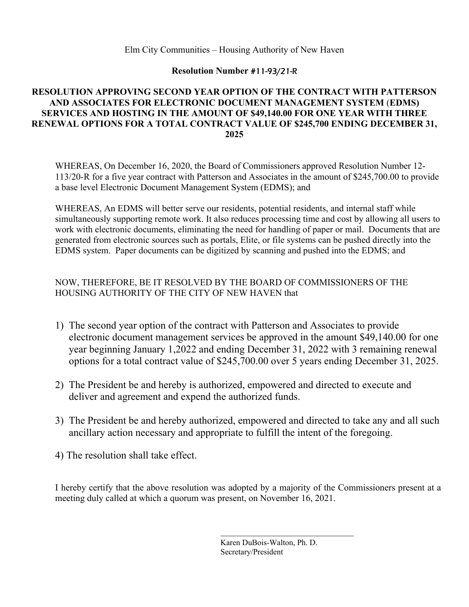## Elm City Communities – Housing Authority of New Haven

## **Resolution Number** #11-93/21-R

## **RESOLUTION APPROVING SECOND YEAR OPTION OF THE CONTRACT WITH PATTERSON AND ASSOCIATES FOR ELECTRONIC DOCUMENT MANAGEMENT SYSTEM** (**EDMS) SERVICES AND HOSTING IN THE AMOUNT OF \$49,140.00 FOR ONE YEAR WITH THREE RENEWAL OPTIONS FOR A TOTAL CONTRACT VALUE OF \$245,700 ENDING DECEMBER 31, 2025**

WHEREAS, On December 16, 2020, the Board of Commissioners approved Resolution Number 12- 113/20-R for a five year contract with Patterson and Associates in the amount of \$245,700.00 to provide a base level Electronic Document Management System (EDMS); and

WHEREAS, An EDMS will better serve our residents, potential residents, and internal staff while simultaneously supporting remote work. It also reduces processing time and cost by allowing all users to work with electronic documents, eliminating the need for handling of paper or mail. Documents that are generated from electronic sources such as portals, Elite, or file systems can be pushed directly into the EDMS system. Paper documents can be digitized by scanning and pushed into the EDMS; and

# NOW, THEREFORE, BE IT RESOLVED BY THE BOARD OF COMMISSIONERS OF THE HOUSING AUTHORITY OF THE CITY OF NEW HAVEN that

- 1) The second year option of the contract with Patterson and Associates to provide electronic document management services be approved in the amount \$49,140.00 for one year beginning January 1,2022 and ending December 31, 2022 with 3 remaining renewal options for a total contract value of \$245,700.00 over 5 years ending December 31, 2025.
- 2) The President be and hereby is authorized, empowered and directed to execute and deliver and agreement and expend the authorized funds.
- 3) The President be and hereby authorized, empowered and directed to take any and all such ancillary action necessary and appropriate to fulfill the intent of the foregoing.
- 4) The resolution shall take effect.

I hereby certify that the above resolution was adopted by a majority of the Commissioners present at a meeting duly called at which a quorum was present, on November 16, 2021.

 $\frac{1}{\sqrt{2}}$  , and the state of the state of the state of the state of the state of the state of the state of the state of the state of the state of the state of the state of the state of the state of the state of the sta

Karen DuBois-Walton, Ph. D. Secretary/President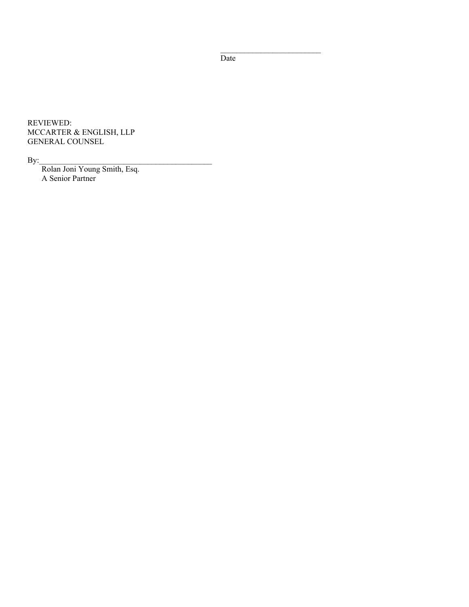Date

 $\mathcal{L}_\text{max}$ 

REVIEWED: MCCARTER & ENGLISH, LLP GENERAL COUNSEL

 $By:$  $\mathbf{By:}$ 

 Rolan Joni Young Smith, Esq. A Senior Partner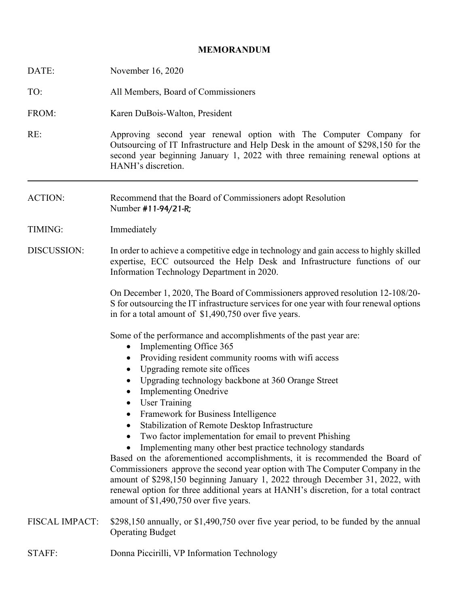#### **MEMORANDUM**

| DATE:                 | November 16, 2020                                                                                                                                                                                                                                                                                                                                                                                                                                                                                                                                                                                                                                                                                                                                                                                                                                                                                                                   |
|-----------------------|-------------------------------------------------------------------------------------------------------------------------------------------------------------------------------------------------------------------------------------------------------------------------------------------------------------------------------------------------------------------------------------------------------------------------------------------------------------------------------------------------------------------------------------------------------------------------------------------------------------------------------------------------------------------------------------------------------------------------------------------------------------------------------------------------------------------------------------------------------------------------------------------------------------------------------------|
| TO:                   | All Members, Board of Commissioners                                                                                                                                                                                                                                                                                                                                                                                                                                                                                                                                                                                                                                                                                                                                                                                                                                                                                                 |
| FROM:                 | Karen DuBois-Walton, President                                                                                                                                                                                                                                                                                                                                                                                                                                                                                                                                                                                                                                                                                                                                                                                                                                                                                                      |
| RE:                   | Approving second year renewal option with The Computer Company for<br>Outsourcing of IT Infrastructure and Help Desk in the amount of \$298,150 for the<br>second year beginning January 1, 2022 with three remaining renewal options at<br>HANH's discretion.                                                                                                                                                                                                                                                                                                                                                                                                                                                                                                                                                                                                                                                                      |
| <b>ACTION:</b>        | Recommend that the Board of Commissioners adopt Resolution<br>Number #11-94/21-R;                                                                                                                                                                                                                                                                                                                                                                                                                                                                                                                                                                                                                                                                                                                                                                                                                                                   |
| TIMING:               | Immediately                                                                                                                                                                                                                                                                                                                                                                                                                                                                                                                                                                                                                                                                                                                                                                                                                                                                                                                         |
| DISCUSSION:           | In order to achieve a competitive edge in technology and gain access to highly skilled<br>expertise, ECC outsourced the Help Desk and Infrastructure functions of our<br>Information Technology Department in 2020.                                                                                                                                                                                                                                                                                                                                                                                                                                                                                                                                                                                                                                                                                                                 |
|                       | On December 1, 2020, The Board of Commissioners approved resolution 12-108/20-<br>S for outsourcing the IT infrastructure services for one year with four renewal options<br>in for a total amount of \$1,490,750 over five years.                                                                                                                                                                                                                                                                                                                                                                                                                                                                                                                                                                                                                                                                                                  |
|                       | Some of the performance and accomplishments of the past year are:<br>Implementing Office 365<br>$\bullet$<br>Providing resident community rooms with wifi access<br>$\bullet$<br>Upgrading remote site offices<br>$\bullet$<br>Upgrading technology backbone at 360 Orange Street<br><b>Implementing Onedrive</b><br><b>User Training</b><br>Framework for Business Intelligence<br>$\bullet$<br>Stabilization of Remote Desktop Infrastructure<br>٠<br>Two factor implementation for email to prevent Phishing<br>$\bullet$<br>Implementing many other best practice technology standards<br>Based on the aforementioned accomplishments, it is recommended the Board of<br>Commissioners approve the second year option with The Computer Company in the<br>amount of \$298,150 beginning January 1, 2022 through December 31, 2022, with<br>renewal option for three additional years at HANH's discretion, for a total contract |
|                       | amount of \$1,490,750 over five years.                                                                                                                                                                                                                                                                                                                                                                                                                                                                                                                                                                                                                                                                                                                                                                                                                                                                                              |
| <b>FISCAL IMPACT:</b> | \$298,150 annually, or \$1,490,750 over five year period, to be funded by the annual<br><b>Operating Budget</b>                                                                                                                                                                                                                                                                                                                                                                                                                                                                                                                                                                                                                                                                                                                                                                                                                     |
| STAFF:                | Donna Piccirilli, VP Information Technology                                                                                                                                                                                                                                                                                                                                                                                                                                                                                                                                                                                                                                                                                                                                                                                                                                                                                         |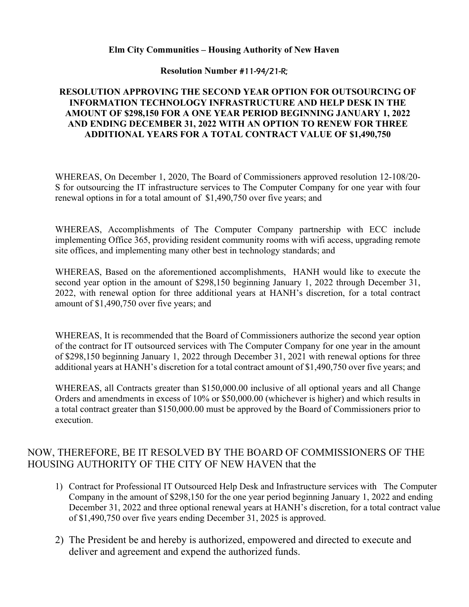## **Elm City Communities – Housing Authority of New Haven**

## **Resolution Number** #11-94/21-R;

## **RESOLUTION APPROVING THE SECOND YEAR OPTION FOR OUTSOURCING OF INFORMATION TECHNOLOGY INFRASTRUCTURE AND HELP DESK IN THE AMOUNT OF \$298,150 FOR A ONE YEAR PERIOD BEGINNING JANUARY 1, 2022 AND ENDING DECEMBER 31, 2022 WITH AN OPTION TO RENEW FOR THREE ADDITIONAL YEARS FOR A TOTAL CONTRACT VALUE OF \$1,490,750**

WHEREAS, On December 1, 2020, The Board of Commissioners approved resolution 12-108/20- S for outsourcing the IT infrastructure services to The Computer Company for one year with four renewal options in for a total amount of \$1,490,750 over five years; and

WHEREAS, Accomplishments of The Computer Company partnership with ECC include implementing Office 365, providing resident community rooms with wifi access, upgrading remote site offices, and implementing many other best in technology standards; and

WHEREAS, Based on the aforementioned accomplishments, HANH would like to execute the second year option in the amount of \$298,150 beginning January 1, 2022 through December 31, 2022, with renewal option for three additional years at HANH's discretion, for a total contract amount of \$1,490,750 over five years; and

WHEREAS, It is recommended that the Board of Commissioners authorize the second year option of the contract for IT outsourced services with The Computer Company for one year in the amount of \$298,150 beginning January 1, 2022 through December 31, 2021 with renewal options for three additional years at HANH's discretion for a total contract amount of \$1,490,750 over five years; and

WHEREAS, all Contracts greater than \$150,000.00 inclusive of all optional years and all Change Orders and amendments in excess of 10% or \$50,000.00 (whichever is higher) and which results in a total contract greater than \$150,000.00 must be approved by the Board of Commissioners prior to execution.

# NOW, THEREFORE, BE IT RESOLVED BY THE BOARD OF COMMISSIONERS OF THE HOUSING AUTHORITY OF THE CITY OF NEW HAVEN that the

- 1) Contract for Professional IT Outsourced Help Desk and Infrastructure services with The Computer Company in the amount of \$298,150 for the one year period beginning January 1, 2022 and ending December 31, 2022 and three optional renewal years at HANH's discretion, for a total contract value of \$1,490,750 over five years ending December 31, 2025 is approved.
- 2) The President be and hereby is authorized, empowered and directed to execute and deliver and agreement and expend the authorized funds.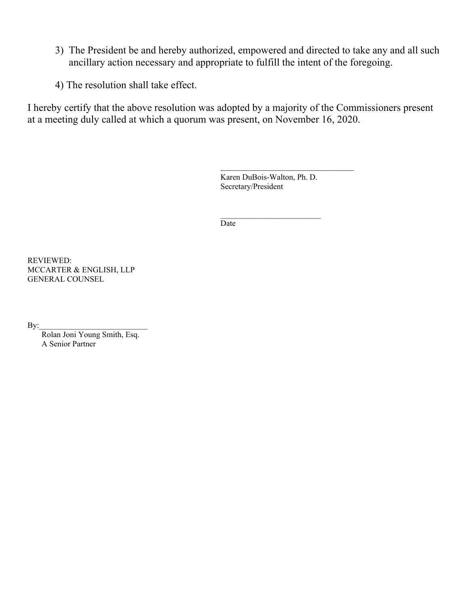- 3) The President be and hereby authorized, empowered and directed to take any and all such ancillary action necessary and appropriate to fulfill the intent of the foregoing.
- 4) The resolution shall take effect.

I hereby certify that the above resolution was adopted by a majority of the Commissioners present at a meeting duly called at which a quorum was present, on November 16, 2020.

> Karen DuBois-Walton, Ph. D. Secretary/President

 $\mathcal{L}_\text{max}$ 

Date

 $\_$ 

REVIEWED: MCCARTER & ENGLISH, LLP GENERAL COUNSEL

 $\mathbf{By:}$ 

 Rolan Joni Young Smith, Esq. A Senior Partner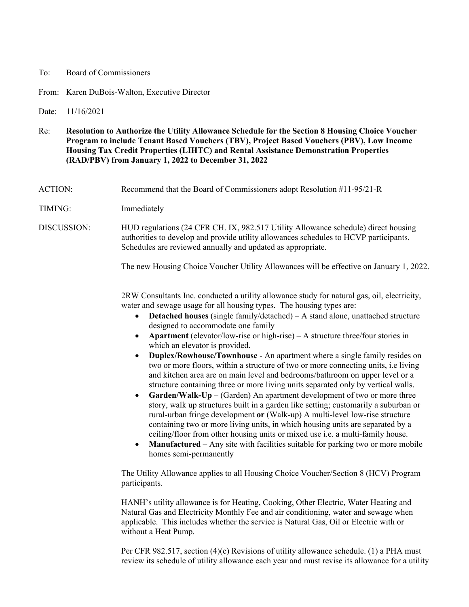#### To: Board of Commissioners

From: Karen DuBois-Walton, Executive Director

Date: 11/16/2021

Re: **Resolution to Authorize the Utility Allowance Schedule for the Section 8 Housing Choice Voucher Program to include Tenant Based Vouchers (TBV), Project Based Vouchers (PBV), Low Income Housing Tax Credit Properties (LIHTC) and Rental Assistance Demonstration Properties (RAD/PBV) from January 1, 2022 to December 31, 2022** 

#### ACTION: Recommend that the Board of Commissioners adopt Resolution #11-95/21-R

TIMING: Immediately

DISCUSSION: HUD regulations (24 CFR CH. IX, 982.517 Utility Allowance schedule) direct housing authorities to develop and provide utility allowances schedules to HCVP participants. Schedules are reviewed annually and updated as appropriate.

The new Housing Choice Voucher Utility Allowances will be effective on January 1, 2022.

2RW Consultants Inc. conducted a utility allowance study for natural gas, oil, electricity, water and sewage usage for all housing types. The housing types are:

- **Detached houses** (single family/detached) A stand alone, unattached structure designed to accommodate one family
- **Apartment** (elevator/low-rise or high-rise) A structure three/four stories in which an elevator is provided.
- **Duplex/Rowhouse/Townhouse** An apartment where a single family resides on two or more floors, within a structure of two or more connecting units, i.e living and kitchen area are on main level and bedrooms/bathroom on upper level or a structure containing three or more living units separated only by vertical walls.
- **Garden/Walk-Up** (Garden) An apartment development of two or more three story, walk up structures built in a garden like setting; customarily a suburban or rural-urban fringe development **or** (Walk-up) A multi-level low-rise structure containing two or more living units, in which housing units are separated by a ceiling/floor from other housing units or mixed use i.e. a multi-family house.
- **Manufactured** Any site with facilities suitable for parking two or more mobile homes semi-permanently

The Utility Allowance applies to all Housing Choice Voucher/Section 8 (HCV) Program participants.

HANH's utility allowance is for Heating, Cooking, Other Electric, Water Heating and Natural Gas and Electricity Monthly Fee and air conditioning, water and sewage when applicable. This includes whether the service is Natural Gas, Oil or Electric with or without a Heat Pump.

Per CFR 982.517, section (4)(c) Revisions of utility allowance schedule. (1) a PHA must review its schedule of utility allowance each year and must revise its allowance for a utility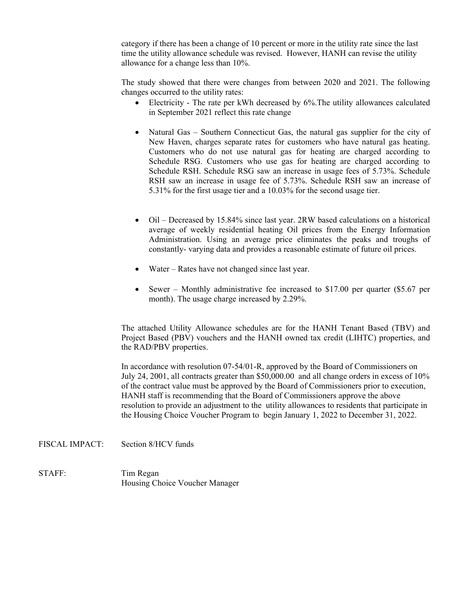category if there has been a change of 10 percent or more in the utility rate since the last time the utility allowance schedule was revised. However, HANH can revise the utility allowance for a change less than 10%.

The study showed that there were changes from between 2020 and 2021. The following changes occurred to the utility rates:

- Electricity The rate per kWh decreased by 6%.The utility allowances calculated in September 2021 reflect this rate change
- Natural Gas Southern Connecticut Gas, the natural gas supplier for the city of New Haven, charges separate rates for customers who have natural gas heating. Customers who do not use natural gas for heating are charged according to Schedule RSG. Customers who use gas for heating are charged according to Schedule RSH. Schedule RSG saw an increase in usage fees of 5.73%. Schedule RSH saw an increase in usage fee of 5.73%. Schedule RSH saw an increase of 5.31% for the first usage tier and a 10.03% for the second usage tier.
- Oil Decreased by 15.84% since last year. 2RW based calculations on a historical average of weekly residential heating Oil prices from the Energy Information Administration. Using an average price eliminates the peaks and troughs of constantly- varying data and provides a reasonable estimate of future oil prices.
- Water Rates have not changed since last year.
- Sewer Monthly administrative fee increased to \$17.00 per quarter (\$5.67 per month). The usage charge increased by 2.29%.

The attached Utility Allowance schedules are for the HANH Tenant Based (TBV) and Project Based (PBV) vouchers and the HANH owned tax credit (LIHTC) properties, and the RAD/PBV properties.

In accordance with resolution 07-54/01-R, approved by the Board of Commissioners on July 24, 2001, all contracts greater than \$50,000.00 and all change orders in excess of 10% of the contract value must be approved by the Board of Commissioners prior to execution, HANH staff is recommending that the Board of Commissioners approve the above resolution to provide an adjustment to the utility allowances to residents that participate in the Housing Choice Voucher Program to begin January 1, 2022 to December 31, 2022.

FISCAL IMPACT: Section 8/HCV funds

STAFF: Tim Regan Housing Choice Voucher Manager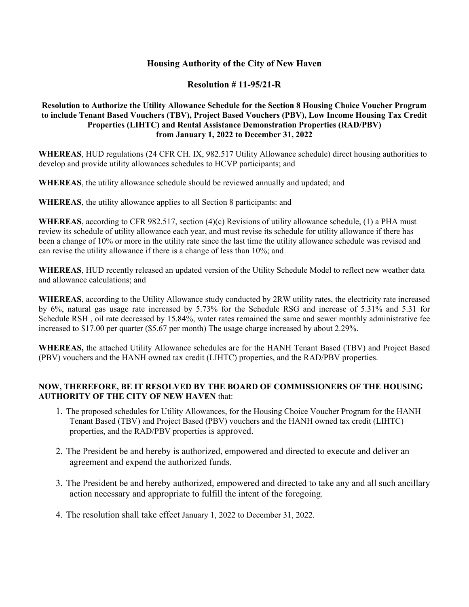## **Housing Authority of the City of New Haven**

#### **Resolution # 11-95/21-R**

#### **Resolution to Authorize the Utility Allowance Schedule for the Section 8 Housing Choice Voucher Program to include Tenant Based Vouchers (TBV), Project Based Vouchers (PBV), Low Income Housing Tax Credit Properties (LIHTC) and Rental Assistance Demonstration Properties (RAD/PBV) from January 1, 2022 to December 31, 2022**

**WHEREAS**, HUD regulations (24 CFR CH. IX, 982.517 Utility Allowance schedule) direct housing authorities to develop and provide utility allowances schedules to HCVP participants; and

**WHEREAS**, the utility allowance schedule should be reviewed annually and updated; and

**WHEREAS**, the utility allowance applies to all Section 8 participants: and

**WHEREAS**, according to CFR 982.517, section (4)(c) Revisions of utility allowance schedule, (1) a PHA must review its schedule of utility allowance each year, and must revise its schedule for utility allowance if there has been a change of 10% or more in the utility rate since the last time the utility allowance schedule was revised and can revise the utility allowance if there is a change of less than 10%; and

**WHEREAS**, HUD recently released an updated version of the Utility Schedule Model to reflect new weather data and allowance calculations; and

**WHEREAS**, according to the Utility Allowance study conducted by 2RW utility rates, the electricity rate increased by 6%, natural gas usage rate increased by 5.73% for the Schedule RSG and increase of 5.31% and 5.31 for Schedule RSH , oil rate decreased by 15.84%, water rates remained the same and sewer monthly administrative fee increased to \$17.00 per quarter (\$5.67 per month) The usage charge increased by about 2.29%.

**WHEREAS,** the attached Utility Allowance schedules are for the HANH Tenant Based (TBV) and Project Based (PBV) vouchers and the HANH owned tax credit (LIHTC) properties, and the RAD/PBV properties.

#### **NOW, THEREFORE, BE IT RESOLVED BY THE BOARD OF COMMISSIONERS OF THE HOUSING AUTHORITY OF THE CITY OF NEW HAVEN** that:

- 1. The proposed schedules for Utility Allowances, for the Housing Choice Voucher Program for the HANH Tenant Based (TBV) and Project Based (PBV) vouchers and the HANH owned tax credit (LIHTC) properties, and the RAD/PBV properties is approved.
- 2. The President be and hereby is authorized, empowered and directed to execute and deliver an agreement and expend the authorized funds.
- 3. The President be and hereby authorized, empowered and directed to take any and all such ancillary action necessary and appropriate to fulfill the intent of the foregoing.
- 4. The resolution shall take effect January 1, 2022 to December 31, 2022.